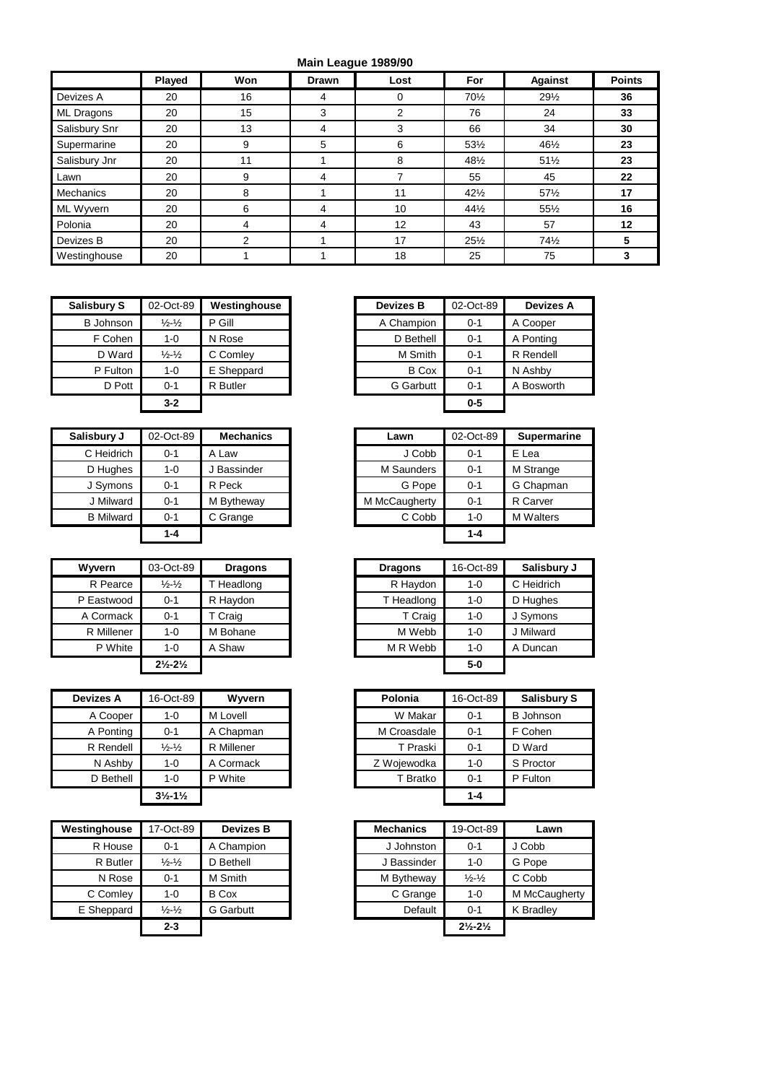## **Main League 1989/90**

|                  |        |     |              | $max1 = 2,2,3,4,5,6,6,8,8$ |                 |                 |               |
|------------------|--------|-----|--------------|----------------------------|-----------------|-----------------|---------------|
|                  | Played | Won | <b>Drawn</b> | Lost                       | For             | <b>Against</b>  | <b>Points</b> |
| Devizes A        | 20     | 16  | 4            | 0                          | 70½             | $29\frac{1}{2}$ | 36            |
| ML Dragons       | 20     | 15  | 3            | 2                          | 76              | 24              | 33            |
| Salisbury Snr    | 20     | 13  | 4            | 3                          | 66              | 34              | 30            |
| Supermarine      | 20     | 9   | 5            | 6                          | 53½             | 461/2           | 23            |
| Salisbury Jnr    | 20     | 11  |              | 8                          | 48½             | $51\frac{1}{2}$ | 23            |
| Lawn             | 20     | 9   | 4            |                            | 55              | 45              | 22            |
| <b>Mechanics</b> | 20     | 8   |              | 11                         | $42\frac{1}{2}$ | 57%             | 17            |
| ML Wyvern        | 20     | 6   | 4            | 10                         | $44\frac{1}{2}$ | 551/2           | 16            |
| Polonia          | 20     | 4   | 4            | 12                         | 43              | 57              | 12            |
| Devizes B        | 20     | 2   |              | 17                         | $25\frac{1}{2}$ | 74%             | 5             |
| Westinghouse     | 20     |     |              | 18                         | 25              | 75              | 3             |

| <b>Salisbury S</b> | 02-Oct-89                   | Westinghouse | <b>Devizes B</b> | 02-Oct-89 | <b>Devizes A</b> |
|--------------------|-----------------------------|--------------|------------------|-----------|------------------|
| <b>B</b> Johnson   | $\frac{1}{2} - \frac{1}{2}$ | P Gill       | A Champion       | $0 - 1$   | A Cooper         |
| F Cohen            | $1 - 0$                     | N Rose       | D Bethell        | $0 - 1$   | A Ponting        |
| D Ward             | $\frac{1}{2} - \frac{1}{2}$ | C Comley     | M Smith          | $0 - 1$   | R Rendell        |
| P Fulton           | $1 - 0$                     | E Sheppard   | <b>B</b> Cox     | $0 - 1$   | N Ashby          |
| D Pott             | $0 - 1$                     | R Butler     | <b>G</b> Garbutt | $0 - 1$   | A Bosworth       |
|                    | $3 - 2$                     |              |                  | $0 - 5$   |                  |

| Salisbury J      | 02-Oct-89 | <b>Mechanics</b> | Lawn          | 02-Oct-89 | Supern   |
|------------------|-----------|------------------|---------------|-----------|----------|
| C Heidrich       | $0 - 1$   | A Law            | J Cobb        | $0 - 1$   | E Lea    |
| D Hughes         | $1 - 0$   | Bassinder        | M Saunders    | $0 - 1$   | M Strang |
| J Symons         | $0 - 1$   | R Peck           | G Pope        | $0 - 1$   | G Chapn  |
| J Milward        | $0 - 1$   | M Bytheway       | M McCaugherty | $0 - 1$   | R Carver |
| <b>B</b> Milward | $0 - 1$   | C Grange         | C Cobb        | $1 - 0$   | M Walter |
|                  | $1 - 4$   |                  |               | $1 - 4$   |          |

| <b>Wyvern</b> | 03-Oct-89                     |            | <b>Dragons</b> |            | 16-Oct-89 | Salisbu    |
|---------------|-------------------------------|------------|----------------|------------|-----------|------------|
| R Pearce      | $\frac{1}{2}$ - $\frac{1}{2}$ | T Headlong |                | R Haydon   | $1 - 0$   | C Heidrich |
| P Eastwood    | 0-1                           | R Haydon   |                | T Headlong | $1 - 0$   | D Hughes   |
| A Cormack     | $0 - 1$                       | T Craig    |                | T Craig    | $1 - 0$   | J Symons   |
| R Millener    | $1 - 0$                       | M Bohane   |                | M Webb     | $1 - 0$   | J Milward  |
| P White       | $1 - 0$                       | A Shaw     |                | M R Webb   | $1 - 0$   | A Duncan   |
|               | $2\frac{1}{2} - 2\frac{1}{2}$ |            |                |            | $5-0$     |            |

| <b>Devizes A</b> | 16-Oct-89                     | Wyvern     | Polonia     | 16-Oct-89 |
|------------------|-------------------------------|------------|-------------|-----------|
| A Cooper         | 1-0                           | M Lovell   | W Makar     | $0 - 1$   |
| A Ponting        | $0 - 1$                       | A Chapman  | M Croasdale | $0 - 1$   |
| R Rendell        | $\frac{1}{2} - \frac{1}{2}$   | R Millener | T Praski    | $0 - 1$   |
| N Ashby          | $1 - 0$                       | A Cormack  | Z Wojewodka | $1 - 0$   |
| D Bethell        | $1 - 0$                       | P White    | T Bratko    | $0 - 1$   |
|                  | $3\frac{1}{2} - 1\frac{1}{2}$ |            |             | $1 - 4$   |

| Westinghouse | 17-Oct-89                   | <b>Devizes B</b> | <b>Mechanics</b> | 19-Oct-89                     |
|--------------|-----------------------------|------------------|------------------|-------------------------------|
| R House      | $0 - 1$                     | A Champion       | J Johnston       | $0 - 1$                       |
| R Butler     | $\frac{1}{2} - \frac{1}{2}$ | D Bethell        | J Bassinder      | $1 - 0$                       |
| N Rose       | $0 - 1$                     | M Smith          | M Bytheway       | $\frac{1}{2} - \frac{1}{2}$   |
| C Comley     | $1 - 0$                     | <b>B</b> Cox     | C Grange         | $1 - 0$                       |
| E Sheppard   | $\frac{1}{2} - \frac{1}{2}$ | <b>G</b> Garbutt | Default          | $0 - 1$                       |
|              | $2 - 3$                     |                  |                  | $2\frac{1}{2} - 2\frac{1}{2}$ |
|              |                             |                  |                  |                               |

| bury S   | 02-Oct-89                   | Westinghouse | <b>Devizes B</b> | 02-Oct-89 | <b>Devizes A</b> |
|----------|-----------------------------|--------------|------------------|-----------|------------------|
| Johnson  | $\frac{1}{2} - \frac{1}{2}$ | P Gill       | A Champion       | $0 - 1$   | A Cooper         |
| F Cohen  | $1 - 0$                     | N Rose       | D Bethell        | $0 - 1$   | A Ponting        |
| D Ward   | $\frac{1}{2} - \frac{1}{2}$ | C Comley     | M Smith          | $0 - 1$   | R Rendell        |
| P Fulton | $1 - 0$                     | E Sheppard   | <b>B</b> Cox     | $0 - 1$   | N Ashby          |
| D Pott   | $0 - 1$                     | R Butler     | <b>G</b> Garbutt | $0 - 1$   | A Bosworth       |
|          | $3 - 2$                     |              |                  | $0 - 5$   |                  |
|          |                             |              |                  |           |                  |

| Salisbury J      | 02-Oct-89 | <b>Mechanics</b> | Lawn          | 02-Oct-89 | <b>Supermarine</b> |
|------------------|-----------|------------------|---------------|-----------|--------------------|
| C Heidrich       | $0 - 1$   | A Law            | J Cobb        | $0 - 1$   | E Lea              |
| D Hughes         | $1 - 0$   | J Bassinder      | M Saunders    | $0 - 1$   | M Strange          |
| J Symons         | $0 - 1$   | R Peck           | G Pope        | $0 - 1$   | G Chapman          |
| J Milward        | $0 - 1$   | M Bytheway       | M McCaugherty | $0 - 1$   | R Carver           |
| <b>B</b> Milward | $0 - 1$   | C Grange         | C Cobb        | 1-0       | <b>M</b> Walters   |
|                  | 1-4       |                  |               | $1 - 4$   |                    |
|                  |           |                  |               |           |                    |

| Wyvern     | 03-Oct-89                     | <b>Dragons</b> |
|------------|-------------------------------|----------------|
| R Pearce   | $\frac{1}{2} - \frac{1}{2}$   | T Headlong     |
| P Eastwood | $0 - 1$                       | R Haydon       |
| A Cormack  | $0 - 1$                       | T Craig        |
| R Millener | $1 - 0$                       | M Bohane       |
| P White    | 1-0                           | A Shaw         |
|            | $2\frac{1}{2} - 2\frac{1}{2}$ |                |

| Devizes A | 16-Oct-89                     | Wyvern     | Polonia     | 16-Oct-89 | <b>Salisbury S</b> |
|-----------|-------------------------------|------------|-------------|-----------|--------------------|
| A Cooper  | $1 - 0$                       | M Lovell   | W Makar     | $0 - 1$   | <b>B</b> Johnson   |
| A Ponting | $0 - 1$                       | A Chapman  | M Croasdale | $0 - 1$   | F Cohen            |
| R Rendell | $\frac{1}{2} - \frac{1}{2}$   | R Millener | T Praski    | $0 - 1$   | D Ward             |
| N Ashby   | $1 - 0$                       | A Cormack  | Z Wojewodka | $1 - 0$   | S Proctor          |
| D Bethell | $1 - 0$                       | P White    | T Bratko    | $0 - 1$   | P Fulton           |
|           | $3\frac{1}{2} - 1\frac{1}{2}$ |            |             | $1 - 4$   |                    |

| inahouse | 17-Oct-89                     | <b>Devizes B</b> | <b>Mechanics</b> | 19-Oct-89                     | Lawn          |
|----------|-------------------------------|------------------|------------------|-------------------------------|---------------|
| R House  | $0 - 1$                       | A Champion       | J Johnston       | $0 - 1$                       | J Cobb        |
| R Butler | $\frac{1}{2}$ - $\frac{1}{2}$ | D Bethell        | J Bassinder      | $1 - 0$                       | G Pope        |
| N Rose   | $0 - 1$                       | M Smith          | M Bytheway       | $\frac{1}{2} - \frac{1}{2}$   | C Cobb        |
| C Comley | $1 - 0$                       | <b>B</b> Cox     | C Grange         | $1 - 0$                       | M McCaugherty |
| Sheppard | $\frac{1}{2} - \frac{1}{2}$   | <b>G</b> Garbutt | Default          | $0 - 1$                       | K Bradley     |
|          | $2 - 3$                       |                  |                  | $2\frac{1}{2} - 2\frac{1}{2}$ |               |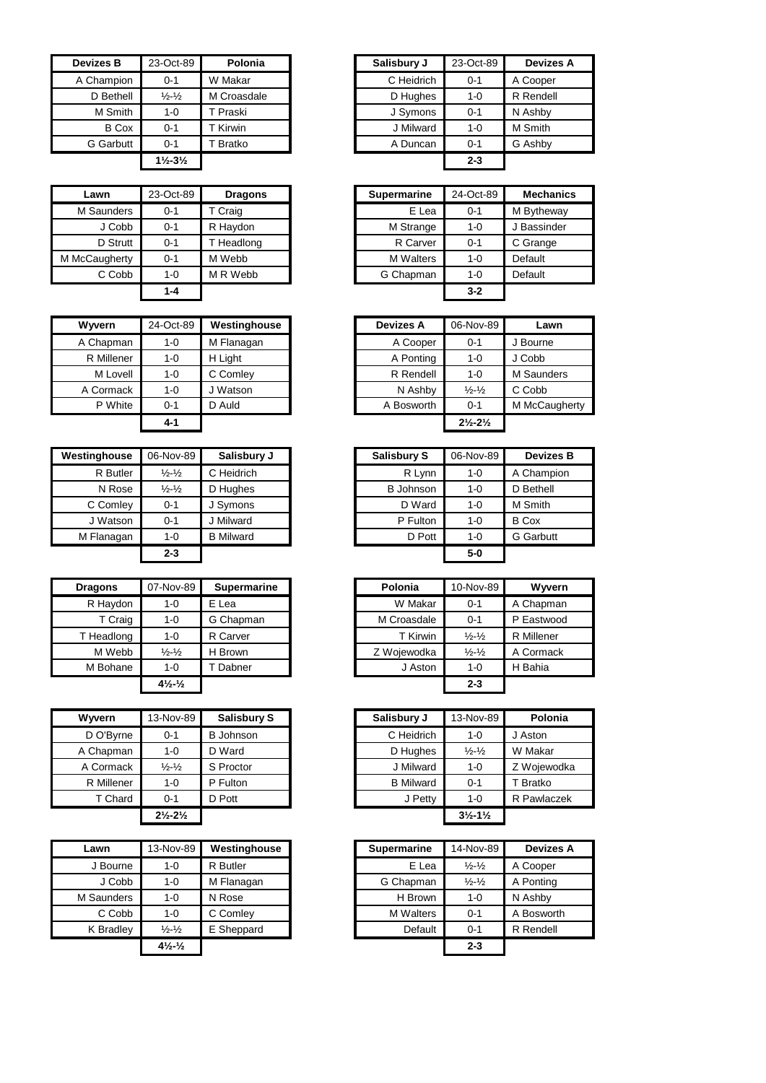| <b>Devizes B</b> | 23-Oct-89                     | Polonia     | Salisbury J | 23-Oct-89 | <b>Devize</b> |
|------------------|-------------------------------|-------------|-------------|-----------|---------------|
| A Champion       | $0 - 1$                       | W Makar     | C Heidrich  | $0 - 1$   | A Cooper      |
| D Bethell        | $\frac{1}{2} - \frac{1}{2}$   | M Croasdale | D Hughes    | $1 - 0$   | R Rendel      |
| M Smith          | $1 - 0$                       | T Praski    | J Symons    | $0 - 1$   | N Ashby       |
| <b>B</b> Cox     | $0 - 1$                       | T Kirwin    | J Milward   | $1 - 0$   | M Smith       |
| G Garbutt        | $0 - 1$                       | Bratko      | A Duncan    | $0 - 1$   | G Ashby       |
|                  | $1\frac{1}{2} - 3\frac{1}{2}$ |             |             | $2 - 3$   |               |

| Lawn          | 23-Oct-89 | <b>Dragons</b> | <b>Supermarine</b> | 24-Oct-89 | Mec     |
|---------------|-----------|----------------|--------------------|-----------|---------|
| M Saunders    | $0 - 1$   | T Craig        | E Lea              | $0 - 1$   | M Byth  |
| J Cobb        | $0 - 1$   | R Haydon       | M Strange          | $1 - 0$   | J Bass  |
| D Strutt      | $0 - 1$   | T Headlong     | R Carver           | $0 - 1$   | C Gran  |
| M McCaugherty | $0 - 1$   | M Webb         | <b>M</b> Walters   | $1 - 0$   | Default |
| C Cobb        | $1 - 0$   | M R Webb       | G Chapman          | $1 - 0$   | Default |
|               | 1-4       |                |                    | $3 - 2$   |         |

| <b>Wyvern</b> | 24-Oct-89 | Westinghouse | <b>Devizes A</b> | 06-Nov-89                     |
|---------------|-----------|--------------|------------------|-------------------------------|
| A Chapman     | $1 - 0$   | M Flanagan   | A Cooper         | $0 - 1$                       |
| R Millener    | $1 - 0$   | H Light      | A Ponting        | 1-0                           |
| M Lovell      | $1 - 0$   | C Comley     | R Rendell        | $1 - 0$                       |
| A Cormack     | $1 - 0$   | Watson       | N Ashby          | $\frac{1}{2}$ $\frac{1}{2}$   |
| P White       | $0 - 1$   | D Auld       | A Bosworth       | $0 - 1$                       |
|               | $4 - 1$   |              |                  | $2\frac{1}{2} - 2\frac{1}{2}$ |

| Westinghouse | 06-Nov-89                     | Salisbury J      | <b>Salisbury S</b> | 06-Nov-89 | <b>Devizes B</b> |
|--------------|-------------------------------|------------------|--------------------|-----------|------------------|
| R Butler     | $\frac{1}{2} - \frac{1}{2}$   | C Heidrich       | R Lynn             | 1-0       | A Champion       |
| N Rose       | $\frac{1}{2}$ - $\frac{1}{2}$ | D Hughes         | <b>B</b> Johnson   | 1-0       | D Bethell        |
| C Comley     | $0 - 1$                       | J Symons         | D Ward             | $1 - 0$   | M Smith          |
| J Watson     | $0 - 1$                       | J Milward        | P Fulton           | 1-0       | <b>B</b> Cox     |
| M Flanagan   | $1 - 0$                       | <b>B</b> Milward | D Pott             | 1-0       | <b>G</b> Garbutt |
|              | $2 - 3$                       |                  |                    | $5-0$     |                  |

| <b>Dragons</b> | 07-Nov-89                      | <b>Supermarine</b> | Polonia     | 10-Nov-89                   | Wyvern            |
|----------------|--------------------------------|--------------------|-------------|-----------------------------|-------------------|
| R Haydon       | 1-0                            | E Lea              | W Makar     | $0 - 1$                     | A Chapman         |
| T Craig        | 1-0                            | G Chapman          | M Croasdale | $0 - 1$                     | P Eastwood        |
| T Headlong     | 1-0                            | R Carver           | T Kirwin    | $\frac{1}{2} - \frac{1}{2}$ | <b>R</b> Millener |
| M Webb         | $\frac{1}{2} - \frac{1}{2}$    | H Brown            | Z Wojewodka | $\frac{1}{2} - \frac{1}{2}$ | A Cormack         |
| M Bohane       | 1-0                            | Dabner             | J Aston     | $1 - 0$                     | H Bahia           |
|                | $4\frac{1}{2}$ - $\frac{1}{2}$ |                    |             | $2 - 3$                     |                   |

| Wyvern     | 13-Nov-89                     | <b>Salisbury S</b> | Salisbury J      | 13-Nov-89                     | Polo     |
|------------|-------------------------------|--------------------|------------------|-------------------------------|----------|
| D O'Byrne  | $0 - 1$                       | <b>B</b> Johnson   | C Heidrich       | $1 - 0$                       | J Aston  |
| A Chapman  | $1 - 0$                       | D Ward             | D Hughes         | $\frac{1}{2} - \frac{1}{2}$   | W Makar  |
| A Cormack  | $\frac{1}{2}$ - $\frac{1}{2}$ | S Proctor          | J Milward        | $1 - 0$                       | Z Wojew  |
| R Millener | $1 - 0$                       | P Fulton           | <b>B</b> Milward | $0 - 1$                       | T Bratko |
| T Chard    | $0 - 1$                       | D Pott             | J Petty          | $1 - 0$                       | R Pawla  |
|            | $2\frac{1}{2} - 2\frac{1}{2}$ |                    |                  | $3\frac{1}{2} - 1\frac{1}{2}$ |          |

| Lawn       | 13-Nov-89                      | Westinghouse | <b>Supermarine</b> | 14-Nov-89                     |          |
|------------|--------------------------------|--------------|--------------------|-------------------------------|----------|
| J Bourne   | $1 - 0$                        | R Butler     | E Lea              | $\frac{1}{2} - \frac{1}{2}$   | A Coope  |
| J Cobb     | $1 - 0$                        | M Flanagan   | G Chapman          | $\frac{1}{2}$ - $\frac{1}{2}$ | A Pontin |
| M Saunders | $1 - 0$                        | N Rose       | H Brown            | $1 - 0$                       | N Ashby  |
| C Cobb     | $1 - 0$                        | C Comley     | <b>M</b> Walters   | $0 - 1$                       | A Boswo  |
| K Bradley  | $\frac{1}{2}$ - $\frac{1}{2}$  | E Sheppard   | Default            | $0 - 1$                       | R Rende  |
|            | $4\frac{1}{2}$ - $\frac{1}{2}$ |              |                    | $2 - 3$                       |          |
|            |                                |              |                    |                               |          |

| Devizes B    | 23-Oct-89                     | Polonia     | Salisbury J | 23-Oct-89 | <b>Devizes A</b> |
|--------------|-------------------------------|-------------|-------------|-----------|------------------|
| A Champion   | $0 - 1$                       | W Makar     | C Heidrich  | $0 - 1$   | A Cooper         |
| D Bethell    | $\frac{1}{2} - \frac{1}{2}$   | M Croasdale | D Hughes    | $1 - 0$   | R Rendell        |
| M Smith      | $1 - 0$                       | T Praski    | J Symons    | $0 - 1$   | N Ashby          |
| <b>B</b> Cox | $0 - 1$                       | T Kirwin    | J Milward   | $1 - 0$   | M Smith          |
| G Garbutt    | $0 - 1$                       | Bratko      | A Duncan    | $0 - 1$   | G Ashby          |
|              | $1\frac{1}{2} - 3\frac{1}{2}$ |             |             | $2 - 3$   |                  |

| Lawn               | 23-Oct-89 | <b>Dragons</b> |
|--------------------|-----------|----------------|
| M Saunders         | $0 - 1$   | T Craig        |
| J Cobb             | $0 - 1$   | R Haydon       |
| D Strutt           | $0 - 1$   | Headlong       |
| <b>IcCaugherty</b> | $0 - 1$   | M Webb         |
| C Cobb             | 1-0       | M R Webb       |
|                    | 1-4       |                |

| 24-Oct-89 | Westinghouse | <b>Devizes A</b> | 06-Nov-89                     | Lawn              |
|-----------|--------------|------------------|-------------------------------|-------------------|
| 1-0       | M Flanagan   | A Cooper         | $0 - 1$                       | J Bourne          |
| $1 - 0$   | H Light      | A Ponting        | $1 - 0$                       | J Cobb            |
| $1 - 0$   | C Comley     | R Rendell        | $1 - 0$                       | <b>M</b> Saunders |
| $1 - 0$   | J Watson     | N Ashby          | $\frac{1}{2} - \frac{1}{2}$   | C Cobb            |
| $0 - 1$   | D Auld       | A Bosworth       | $0 - 1$                       | M McCaugherty     |
| $4 - 1$   |              |                  | $2\frac{1}{2} - 2\frac{1}{2}$ |                   |
|           |              |                  |                               |                   |

| ghouse   | 06-Nov-89                   | Salisbury J      | <b>Salisbury S</b> | 06-Nov-89 | <b>Devizes B</b> |
|----------|-----------------------------|------------------|--------------------|-----------|------------------|
| R Butler | $\frac{1}{2} - \frac{1}{2}$ | C Heidrich       | R Lynn             | $1 - 0$   | A Champion       |
| N Rose   | $\frac{1}{2} - \frac{1}{2}$ | D Hughes         | <b>B</b> Johnson   | $1 - 0$   | D Bethell        |
| Comley   | $0 - 1$                     | J Symons         | D Ward             | $1 - 0$   | M Smith          |
| Watson   | $0 - 1$                     | J Milward        | P Fulton           | $1 - 0$   | <b>B</b> Cox     |
| lanagan  | $1 - 0$                     | <b>B</b> Milward | D Pott             | $1 - 0$   | <b>G</b> Garbutt |
|          | $2 - 3$                     |                  |                    | $5-0$     |                  |
|          |                             |                  |                    |           |                  |

| agons    | 07-Nov-89                      | <b>Supermarine</b> | Polonia     | 10-Nov-89                   | Wyvern     |
|----------|--------------------------------|--------------------|-------------|-----------------------------|------------|
| R Haydon | 1-0                            | E Lea              | W Makar     | $0 - 1$                     | A Chapman  |
| T Craig  | $1 - 0$                        | G Chapman          | M Croasdale | $0 - 1$                     | P Eastwood |
| Headlong | $1 - 0$                        | R Carver           | T Kirwin    | $\frac{1}{2} - \frac{1}{2}$ | R Millener |
| M Webb   | $\frac{1}{2} - \frac{1}{2}$    | Brown<br>н         | Z Wojewodka | $\frac{1}{2} - \frac{1}{2}$ | A Cormack  |
| M Bohane | $1 - 0$                        | Dabner             | J Aston     | 1-0                         | H Bahia    |
|          | $4\frac{1}{2}$ - $\frac{1}{2}$ |                    |             | $2 - 3$                     |            |

| Wyvern     | 13-Nov-89                     | <b>Salisbury S</b> |
|------------|-------------------------------|--------------------|
| D O'Byrne  | $0 - 1$                       | <b>B</b> Johnson   |
| A Chapman  | $1 - 0$                       | D Ward             |
| A Cormack  | $\frac{1}{2} - \frac{1}{2}$   | S Proctor          |
| R Millener | $1 - 0$                       | P Fulton           |
| T Chard    | $0 - 1$                       | D Pott             |
|            | $2\frac{1}{2} - 2\frac{1}{2}$ |                    |

| Lawn       | 13-Nov-89                      | Westinghouse | <b>Supermarine</b> | 14-Nov-89                   | <b>Devizes A</b> |
|------------|--------------------------------|--------------|--------------------|-----------------------------|------------------|
| J Bourne   | $1 - 0$                        | R Butler     | E Lea              | $\frac{1}{2} - \frac{1}{2}$ | A Cooper         |
| J Cobb     | $1 - 0$                        | M Flanagan   | G Chapman          | $\frac{1}{2} - \frac{1}{2}$ | A Ponting        |
| 1 Saunders | $1 - 0$                        | N Rose       | H Brown            | $1 - 0$                     | N Ashby          |
| C Cobb     | $1 - 0$                        | C Comley     | <b>M</b> Walters   | $0 - 1$                     | A Bosworth       |
| K Bradley  | $\frac{1}{2}$ - $\frac{1}{2}$  | E Sheppard   | Default            | $0 - 1$                     | R Rendell        |
|            | $4\frac{1}{2}$ - $\frac{1}{2}$ |              |                    | $2 - 3$                     |                  |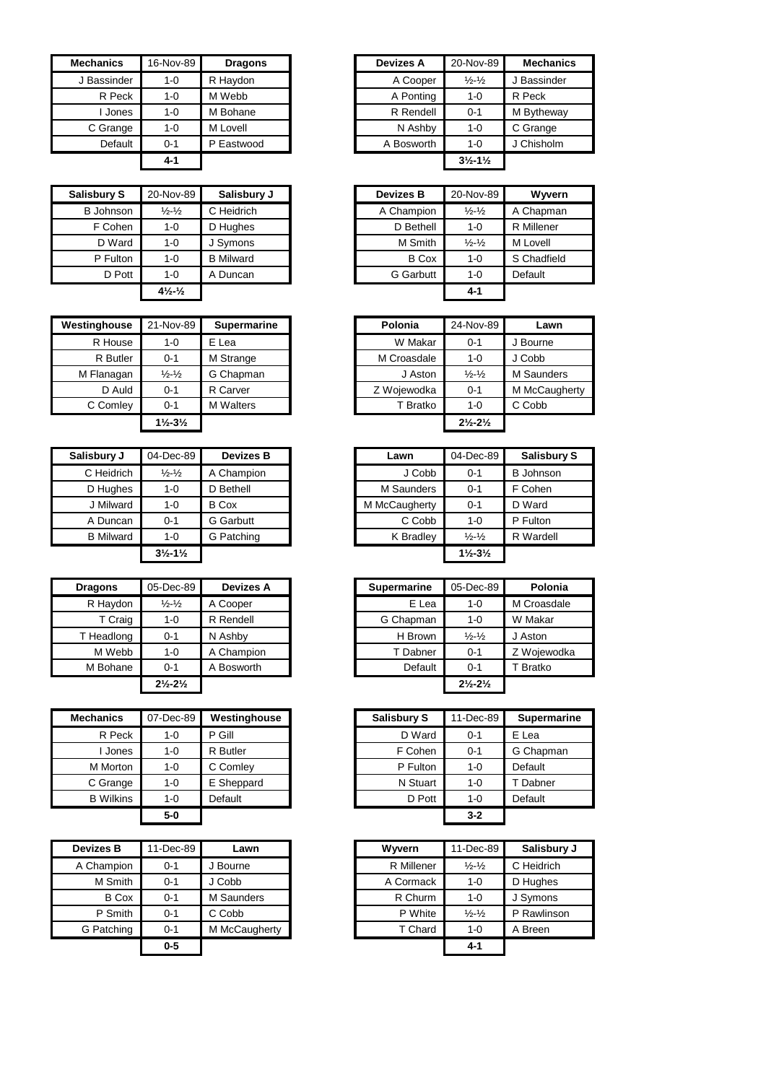| <b>Mechanics</b> | 16-Nov-89 | <b>Dragons</b> |
|------------------|-----------|----------------|
| J Bassinder      | $1 - 0$   | R Haydon       |
| R Peck           | $1 - 0$   | M Webb         |
| I Jones          | $1 - 0$   | M Bohane       |
| C Grange         | $1 - 0$   | M Lovell       |
| Default          | $0 - 1$   | P Eastwood     |
|                  | 4-1       |                |

| <b>Salisbury S</b> | 20-Nov-89                      | Salisbury J      | <b>Devizes B</b> | 20-Nov-89                   | Wyvern            |
|--------------------|--------------------------------|------------------|------------------|-----------------------------|-------------------|
| <b>B</b> Johnson   | $\frac{1}{2} - \frac{1}{2}$    | C Heidrich       | A Champion       | $\frac{1}{2} - \frac{1}{2}$ | A Chapman         |
| F Cohen            | $1 - 0$                        | D Hughes         | D Bethell        | $1 - 0$                     | <b>R</b> Millener |
| D Ward             | $1 - 0$                        | J Symons         | M Smith          | $\frac{1}{2} - \frac{1}{2}$ | M Lovell          |
| P Fulton           | 1-0                            | <b>B</b> Milward | <b>B</b> Cox     | $1 - 0$                     | S Chadfield       |
| D Pott             | $1 - 0$                        | A Duncan         | <b>G</b> Garbutt | $1 - 0$                     | Default           |
|                    | $4\frac{1}{2}$ - $\frac{1}{2}$ |                  |                  | $4 - 1$                     |                   |

| Westinghouse | 21-Nov-89                     | <b>Supermarine</b> | Polonia     | 24-Nov-89                     |
|--------------|-------------------------------|--------------------|-------------|-------------------------------|
| R House      | $1 - 0$                       | E Lea              | W Makar     | $0 - 1$                       |
| R Butler     | $0 - 1$                       | M Strange          | M Croasdale | 1-0                           |
| M Flanagan   | $\frac{1}{2}$ - $\frac{1}{2}$ | G Chapman          | J Aston     | $\frac{1}{2} - \frac{1}{2}$   |
| D Auld       | $0 - 1$                       | R Carver           | Z Wojewodka | $0 - 1$                       |
| C Comley     | $0 - 1$                       | <b>M</b> Walters   | T Bratko    | $1 - 0$                       |
|              | $1\frac{1}{2} - 3\frac{1}{2}$ |                    |             | $2\frac{1}{2} - 2\frac{1}{2}$ |

| Salisbury J      | 04-Dec-89                     | <b>Devizes B</b> | Lawn          | 04-Dec-89                     |
|------------------|-------------------------------|------------------|---------------|-------------------------------|
| C Heidrich       | $\frac{1}{2} - \frac{1}{2}$   | A Champion       | J Cobb        | $0 - 1$                       |
| D Hughes         | $1 - 0$                       | D Bethell        | M Saunders    | $0 - 1$                       |
| J Milward        | $1 - 0$                       | <b>B</b> Cox     | M McCaugherty | $0 - 1$                       |
| A Duncan         | $0 - 1$                       | <b>G</b> Garbutt | C Cobb        | $1 - 0$                       |
| <b>B</b> Milward | $1 - 0$                       | G Patching       | K Bradley     | $\frac{1}{2} - \frac{1}{2}$   |
|                  | $3\frac{1}{2} - 1\frac{1}{2}$ |                  |               | $1\frac{1}{2} - 3\frac{1}{2}$ |

| <b>Dragons</b> | 05-Dec-89                     | <b>Devizes A</b> | <b>Supermarine</b> | 05-Dec-89                     | Polonia     |
|----------------|-------------------------------|------------------|--------------------|-------------------------------|-------------|
| R Haydon       | $\frac{1}{2} - \frac{1}{2}$   | A Cooper         | E Lea              | $1 - 0$                       | M Croasdale |
| T Craig        | $1 - 0$                       | R Rendell        | G Chapman          | $1 - 0$                       | W Makar     |
| T Headlong     | $0 - 1$                       | N Ashby          | H Brown            | $\frac{1}{2} - \frac{1}{2}$   | J Aston     |
| M Webb         | $1 - 0$                       | A Champion       | T Dabner           | $0 - 1$                       | Z Woiewodk  |
| M Bohane       | $0 - 1$                       | A Bosworth       | Default            | $0 - 1$                       | T Bratko    |
|                | $2\frac{1}{2} - 2\frac{1}{2}$ |                  |                    | $2\frac{1}{2} - 2\frac{1}{2}$ |             |

| <b>Mechanics</b> | 07-Dec-89 | Westinghouse | <b>Salisbury S</b> | 11-Dec-89 | Superm   |
|------------------|-----------|--------------|--------------------|-----------|----------|
| R Peck           | 1-0       | P Gill       | D Ward             | $0 - 1$   | E Lea    |
| Jones            | $1 - 0$   | R Butler     | F Cohen            | $0 - 1$   | G Chapm  |
| M Morton         | $1 - 0$   | C Comley     | P Fulton           | $1 - 0$   | Default  |
| C Grange         | $1 - 0$   | E Sheppard   | N Stuart           | $1 - 0$   | Г Dabner |
| <b>B</b> Wilkins | $1 - 0$   | Default      | D Pott             | $1 - 0$   | Default  |
|                  | $5-0$     |              |                    | $3 - 2$   |          |

| <b>Devizes B</b> | 11-Dec-89 | Lawn          |
|------------------|-----------|---------------|
| A Champion       | $0 - 1$   | Bourne        |
| M Smith          | $0 - 1$   | J Cobb        |
| <b>B</b> Cox     | $0 - 1$   | M Saunders    |
| P Smith          | $0 - 1$   | C Cobb        |
| G Patching       | $0 - 1$   | M McCaugherty |
|                  | $0-5$     |               |
|                  |           |               |

| Mechanics   | 16-Nov-89 | <b>Dragons</b> | <b>Devizes A</b> | 20-Nov-89                     | <b>Mechanics</b> |
|-------------|-----------|----------------|------------------|-------------------------------|------------------|
| J Bassinder | 1-0       | R Haydon       | A Cooper         | $\frac{1}{2} - \frac{1}{2}$   | J Bassinder      |
| R Peck      | $1 - 0$   | M Webb         | A Ponting        | $1 - 0$                       | R Peck           |
| Jones       | $1 - 0$   | M Bohane       | R Rendell        | $0 - 1$                       | M Bytheway       |
| C Grange    | $1 - 0$   | M Lovell       | N Ashby          | $1 - 0$                       | C Grange         |
| Default     | $0 - 1$   | P Eastwood     | A Bosworth       | $1 - 0$                       | J Chisholm       |
|             | $4 - 1$   |                |                  | $3\frac{1}{2} - 1\frac{1}{2}$ |                  |

|                                             | Salisbury J      |
|---------------------------------------------|------------------|
| $\frac{1}{2} - \frac{1}{2}$                 | C Heidrich       |
| $1 - 0$                                     | D Hughes         |
| $1 - 0$                                     | J Symons         |
| $1 - 0$                                     | <b>B</b> Milward |
| $1 - 0$                                     | A Duncan         |
| $4\frac{1}{2}$ <sup>-1</sup> / <sub>2</sub> |                  |
|                                             | 20-Nov-89        |

| stinghouse | 21-Nov-89                     | Supermarine      | Polonia     | 24-Nov-89                     | Lawn          |
|------------|-------------------------------|------------------|-------------|-------------------------------|---------------|
| R House    | 1-0                           | E Lea            | W Makar     | $0 - 1$                       | J Bourne      |
| R Butler   | $0 - 1$                       | M Strange        | M Croasdale | 1-0                           | J Cobb        |
| M Flanagan | $\frac{1}{2} - \frac{1}{2}$   | G Chapman        | J Aston     | $\frac{1}{2} - \frac{1}{2}$   | M Saunders    |
| D Auld     | $0 - 1$                       | R Carver         | Z Wojewodka | $0 - 1$                       | M McCaugherty |
| C Comley   | $0 - 1$                       | <b>M</b> Walters | T Bratko    | 1-0                           | C Cobb        |
|            | $1\frac{1}{2} - 3\frac{1}{2}$ |                  |             | $2\frac{1}{2} - 2\frac{1}{2}$ |               |

| Salisbury J      | 04-Dec-89                     | <b>Devizes B</b> | Lawn          | 04-Dec-89                     | <b>Salisbury S</b> |
|------------------|-------------------------------|------------------|---------------|-------------------------------|--------------------|
| C Heidrich       | $\frac{1}{2} - \frac{1}{2}$   | A Champion       | J Cobb        | $0 - 1$                       | <b>B</b> Johnson   |
| D Hughes         | $1 - 0$                       | D Bethell        | M Saunders    | $0 - 1$                       | F Cohen            |
| J Milward        | $1 - 0$                       | <b>B</b> Cox     | M McCaugherty | $0 - 1$                       | D Ward             |
| A Duncan         | $0 - 1$                       | <b>G</b> Garbutt | C Cobb        | $1 - 0$                       | P Fulton           |
| <b>B</b> Milward | $1 - 0$                       | G Patching       | K Bradley     | $\frac{1}{2} - \frac{1}{2}$   | R Wardell          |
|                  | $3\frac{1}{2} - 1\frac{1}{2}$ |                  |               | $1\frac{1}{2} - 3\frac{1}{2}$ |                    |
|                  |                               |                  |               |                               |                    |

|                               | <b>Devizes A</b> |           |           | 05-Dec-89                     | Polonia     |
|-------------------------------|------------------|-----------|-----------|-------------------------------|-------------|
| $\frac{1}{2} - \frac{1}{2}$   | A Cooper         |           | E Lea     | $1 - 0$                       | M Croasdale |
| $1 - 0$                       | R Rendell        |           | G Chapman | 1-0                           | W Makar     |
| $0 - 1$                       | N Ashby          |           | H Brown   | $\frac{1}{2} - \frac{1}{2}$   | J Aston     |
| $1 - 0$                       | A Champion       |           | T Dabner  | $0 - 1$                       | Z Wojewodka |
| $0 - 1$                       | A Bosworth       |           | Default   | $0 - 1$                       | T Bratko    |
| $2\frac{1}{2} - 2\frac{1}{2}$ |                  |           |           | $2\frac{1}{2} - 2\frac{1}{2}$ |             |
|                               |                  | 05-Dec-89 |           | <b>Supermarine</b>            |             |

| Mechanics        | 07-Dec-89 | Westinghouse | <b>Salisbury S</b> | 11-Dec-89 | <b>Supermarine</b> |
|------------------|-----------|--------------|--------------------|-----------|--------------------|
| R Peck           | $1 - 0$   | Gill<br>P    | D Ward             | $0 - 1$   | E Lea              |
| Jones            | $1 - 0$   | R Butler     | F Cohen            | $0 - 1$   | G Chapman          |
| M Morton         | $1 - 0$   | C Comley     | P Fulton           | $1 - 0$   | Default            |
| C Grange         | $1 - 0$   | E Sheppard   | N Stuart           | $1 - 0$   | Dabner             |
| <b>B</b> Wilkins | $1 - 0$   | Default      | D Pott             | $1 - 0$   | Default            |
|                  | $5-0$     |              |                    | $3 - 2$   |                    |
|                  |           |              |                    |           |                    |

| Devizes B    | 11-Dec-89 | Lawn          | Wwern      | 11-Dec-89                   | Salisbury J |
|--------------|-----------|---------------|------------|-----------------------------|-------------|
| A Champion   | $0 - 1$   | Bourne        | R Millener | $\frac{1}{2} - \frac{1}{2}$ | C Heidrich  |
| M Smith      | $0 - 1$   | J Cobb        | A Cormack  | $1 - 0$                     | D Hughes    |
| <b>B</b> Cox | $0 - 1$   | M Saunders    | R Churm    | $1 - 0$                     | J Symons    |
| P Smith      | $0 - 1$   | C Cobb        | P White    | $\frac{1}{2} - \frac{1}{2}$ | P Rawlinson |
| G Patching   | $0 - 1$   | M McCaugherty | T Chard    | $1 - 0$                     | A Breen     |
|              | $0-5$     |               |            | $4 - 1$                     |             |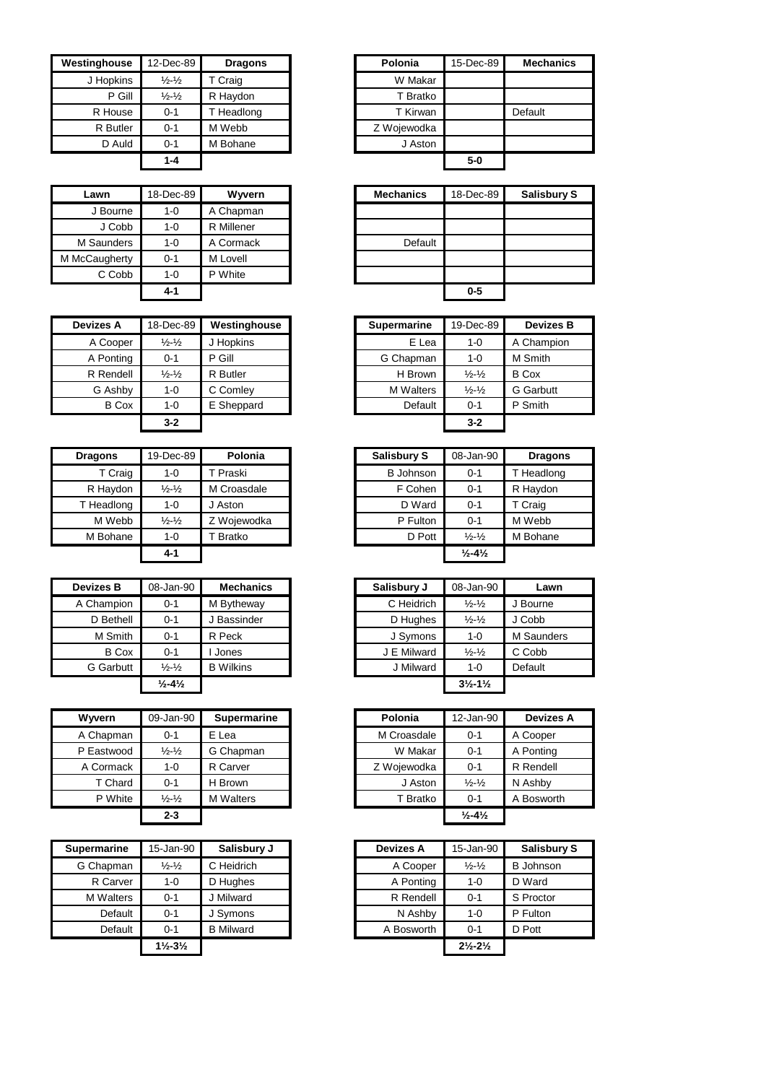| Westinghouse | 12-Dec-89                   | <b>Dragons</b> | Polonia     | 15-Dec-89 |
|--------------|-----------------------------|----------------|-------------|-----------|
| J Hopkins    | $\frac{1}{2} - \frac{1}{2}$ | T Craig        | W Makar     |           |
| P Gill       | $\frac{1}{2} - \frac{1}{2}$ | R Haydon       | T Bratko    |           |
| R House      | $0 - 1$                     | T Headlong     | T Kirwan    |           |
| R Butler     | $0 - 1$                     | M Webb         | Z Wojewodka |           |
| D Auld       | $0 - 1$                     | M Bohane       | J Aston     |           |
|              | 1-4                         |                |             | $5-0$     |

| Lawn          | 18-Dec-89 | Wyvern     |
|---------------|-----------|------------|
| J Bourne      | 1-0       | A Chapman  |
| J Cobb        | 1-0       | R Millener |
| M Saunders    | 1-0       | A Cormack  |
| M McCaugherty | $0 - 1$   | M Lovell   |
| C Cobb        | 1-0       | P White    |
|               | 4-1       |            |

| <b>Devizes A</b> | 18-Dec-89                     | Westinghouse | <b>Supermarine</b> | 19-Dec-89                   |              |
|------------------|-------------------------------|--------------|--------------------|-----------------------------|--------------|
| A Cooper         | $\frac{1}{2}$ - $\frac{1}{2}$ | J Hopkins    | E Lea              | $1 - 0$                     | A Cham       |
| A Ponting        | $0 - 1$                       | P Gill       | G Chapman          | 1-0                         | M Smith      |
| R Rendell        | $\frac{1}{2}$ - $\frac{1}{2}$ | R Butler     | H Brown            | $\frac{1}{2} - \frac{1}{2}$ | <b>B</b> Cox |
| G Ashby          | $1 - 0$                       | C Comley     | <b>M</b> Walters   | $\frac{1}{2} - \frac{1}{2}$ | G Garbu      |
| <b>B</b> Cox     | $1 - 0$                       | E Sheppard   | Default            | $0 - 1$                     | P Smith      |
|                  | $3 - 2$                       |              |                    | $3 - 2$                     |              |

| <b>Dragons</b> | 19-Dec-89                     | Polonia             | <b>Salisbury S</b> | 08-Jan-90                    | Drago     |
|----------------|-------------------------------|---------------------|--------------------|------------------------------|-----------|
| T Craig        | $1 - 0$                       | <sup>'</sup> Praski | <b>B</b> Johnson   | $0 - 1$                      | T Headlor |
| R Haydon       | $\frac{1}{2}$ - $\frac{1}{2}$ | M Croasdale         | F Cohen            | $0 - 1$                      | R Haydon  |
| T Headlong     | $1 - 0$                       | Aston               | D Ward             | $0 - 1$                      | T Craig   |
| M Webb         | $\frac{1}{2}$ - $\frac{1}{2}$ | Z Wojewodka         | P Fulton           | $0 - 1$                      | M Webb    |
| M Bohane       | $1 - 0$                       | <sup>-</sup> Bratko | D Pott             | $\frac{1}{2} - \frac{1}{2}$  | M Bohane  |
|                | 4-1                           |                     |                    | $\frac{1}{2} - 4\frac{1}{2}$ |           |

| <b>Devizes B</b> | 08-Jan-90                    | <b>Mechanics</b> | Salisbury J | 08-Jan-90                     | Lawn      |
|------------------|------------------------------|------------------|-------------|-------------------------------|-----------|
| A Champion       | $0 - 1$                      | M Bytheway       | C Heidrich  | $\frac{1}{2} - \frac{1}{2}$   | J Bourne  |
| D Bethell        | $0 - 1$                      | <b>Bassinder</b> | D Hughes    | $\frac{1}{2}$ $\frac{1}{2}$   | J Cobb    |
| M Smith          | $0 - 1$                      | R Peck           | J Symons    | $1 - 0$                       | M Saunder |
| <b>B</b> Cox     | $0 - 1$                      | Jones            | J E Milward | $\frac{1}{2} - \frac{1}{2}$   | C Cobb    |
| <b>G</b> Garbutt | $\frac{1}{2} - \frac{1}{2}$  | <b>B</b> Wilkins | J Milward   | 1-0                           | Default   |
|                  | $\frac{1}{2} - 4\frac{1}{2}$ |                  |             | $3\frac{1}{2} - 1\frac{1}{2}$ |           |

| <b>Wyvern</b> | 09-Jan-90                     | <b>Supermarine</b> | Polonia     | 12-Jan-90                    |
|---------------|-------------------------------|--------------------|-------------|------------------------------|
| A Chapman     | $0 - 1$                       | E Lea              | M Croasdale | $0 - 1$                      |
| P Eastwood    | $\frac{1}{2}$ - $\frac{1}{2}$ | G Chapman          | W Makar     | $0 - 1$                      |
| A Cormack     | $1 - 0$                       | R Carver           | Z Wojewodka | $0 - 1$                      |
| T Chard       | $0 - 1$                       | H Brown            | J Aston     | $\frac{1}{2} - \frac{1}{2}$  |
| P White       | $\frac{1}{2} - \frac{1}{2}$   | <b>M</b> Walters   | T Bratko    | $0 - 1$                      |
|               | $2 - 3$                       |                    |             | $\frac{1}{2} - 4\frac{1}{2}$ |

| 15-Jan-90                     | Salisbury J      |
|-------------------------------|------------------|
| $\frac{1}{2} - \frac{1}{2}$   | C Heidrich       |
| $1 - 0$                       | D Hughes         |
| $0 - 1$                       | Milward          |
| $0 - 1$                       | J Symons         |
| $0 - 1$                       | <b>B</b> Milward |
| $1\frac{1}{2} - 3\frac{1}{2}$ |                  |
|                               |                  |

| $Dec-89$                    | <b>Dragons</b> | Polonia     | 15-Dec-89 | <b>Mechanics</b> |
|-----------------------------|----------------|-------------|-----------|------------------|
| $\frac{1}{2} - \frac{1}{2}$ | T Craig        | W Makar     |           |                  |
| $\frac{1}{2} - \frac{1}{2}$ | R Haydon       | T Bratko    |           |                  |
| $0 - 1$                     | Headlong       | T Kirwan    |           | Default          |
| $0 - 1$                     | M Webb         | Z Wojewodka |           |                  |
| $0 - 1$                     | M Bohane       | J Aston     |           |                  |
| $1 - 4$                     |                |             | $5-0$     |                  |

| Lawn       | 18-Dec-89 | Wyvern     |
|------------|-----------|------------|
| J Bourne   | $1 - 0$   | A Chapman  |
| J Cobb     | $1 - 0$   | R Millener |
| 1 Saunders | $1 - 0$   | A Cormack  |
| :Caugherty | $0 - 1$   | M Lovell   |
| C Cobb     | $1 - 0$   | P White    |
|            | $4 - 1$   |            |
|            |           |            |

| Devizes A    | 18-Dec-89                     | Westinghouse   | <b>Supermarine</b> | 19-Dec-89                   | <b>Devizes B</b> |
|--------------|-------------------------------|----------------|--------------------|-----------------------------|------------------|
| A Cooper     | $\frac{1}{2}$ - $\frac{1}{2}$ | <b>Hopkins</b> | E Lea              | $1 - 0$                     | A Champion       |
| A Ponting    | $0 - 1$                       | Gill<br>P      | G Chapman          | $1 - 0$                     | M Smith          |
| R Rendell    | $\frac{1}{2}$ - $\frac{1}{2}$ | R Butler       | H Brown            | $\frac{1}{2} - \frac{1}{2}$ | <b>B</b> Cox     |
| G Ashby      | $1 - 0$                       | C Comley       | <b>M</b> Walters   | $\frac{1}{2} - \frac{1}{2}$ | <b>G</b> Garbutt |
| <b>B</b> Cox | $1 - 0$                       | E Sheppard     | Default            | $0 - 1$                     | P Smith          |
|              | $3 - 2$                       |                |                    | $3 - 2$                     |                  |

| <b>Dragons</b> | 19-Dec-89                   | Polonia             | <b>Salisbury S</b> | 08-Jan-90                    | <b>Dragons</b> |
|----------------|-----------------------------|---------------------|--------------------|------------------------------|----------------|
| T Craig        | 1-0                         | Praski              | <b>B</b> Johnson   | $0 - 1$                      | T Headlong     |
| R Haydon       | $\frac{1}{2} - \frac{1}{2}$ | M Croasdale         | F Cohen            | $0 - 1$                      | R Haydon       |
| T Headlong     | $1 - 0$                     | J Aston             | D Ward             | $0 - 1$                      | T Craig        |
| M Webb         | $\frac{1}{2} - \frac{1}{2}$ | Z Wojewodka         | P Fulton           | $0 - 1$                      | M Webb         |
| M Bohane       | $1 - 0$                     | <sup>'</sup> Bratko | D Pott             | $\frac{1}{2} - \frac{1}{2}$  | M Bohane       |
|                | 4-1                         |                     |                    | $\frac{1}{2} - 4\frac{1}{2}$ |                |

| zes B        | 08-Jan-90                    | <b>Mechanics</b> | Salisbury J | 08-Jan-90                     | Lawn              |
|--------------|------------------------------|------------------|-------------|-------------------------------|-------------------|
| hampion      | $0 - 1$                      | M Bytheway       | C Heidrich  | $\frac{1}{2} - \frac{1}{2}$   | J Bourne          |
| D Bethell    | $0 - 1$                      | J Bassinder      | D Hughes    | $\frac{1}{2} - \frac{1}{2}$   | J Cobb            |
| M Smith      | $0 - 1$                      | R Peck           | J Symons    | $1 - 0$                       | <b>M</b> Saunders |
| <b>B</b> Cox | $0 - 1$                      | Jones            | J E Milward | $\frac{1}{2} - \frac{1}{2}$   | C Cobb            |
| Garbutt      | $\frac{1}{2} - \frac{1}{2}$  | <b>B</b> Wilkins | J Milward   | $1 - 0$                       | Default           |
|              | $\frac{1}{2} - 4\frac{1}{2}$ |                  |             | $3\frac{1}{2} - 1\frac{1}{2}$ |                   |

| Wyvern     | 09-Jan-90                   | <b>Supermarine</b> | Polonia     | 12-Jan-90                    | <b>Devizes A</b> |
|------------|-----------------------------|--------------------|-------------|------------------------------|------------------|
| A Chapman  | $0 - 1$                     | E Lea              | M Croasdale | $0 - 1$                      | A Cooper         |
| P Eastwood | $\frac{1}{2} - \frac{1}{2}$ | G Chapman          | W Makar     | $0 - 1$                      | A Ponting        |
| A Cormack  | $1 - 0$                     | R Carver           | Z Wojewodka | $0 - 1$                      | R Rendell        |
| T Chard    | $0 - 1$                     | H Brown            | J Aston     | $\frac{1}{2} - \frac{1}{2}$  | N Ashby          |
| P White    | $\frac{1}{2} - \frac{1}{2}$ | <b>M</b> Walters   | T Bratko    | $0 - 1$                      | A Bosworth       |
|            | $2 - 3$                     |                    |             | $\frac{1}{2} - 4\frac{1}{2}$ |                  |

| Supermarine      | 15-Jan-90                     | Salisbury J      | <b>Devizes A</b> | 15-Jan-90                     | <b>Salisbury S</b> |
|------------------|-------------------------------|------------------|------------------|-------------------------------|--------------------|
| G Chapman        | $\frac{1}{2} - \frac{1}{2}$   | C Heidrich       | A Cooper         | $\frac{1}{2} - \frac{1}{2}$   | <b>B</b> Johnson   |
| R Carver         | 1-0                           | D Hughes         | A Ponting        | $1 - 0$                       | D Ward             |
| <b>M</b> Walters | $0 - 1$                       | J Milward        | R Rendell        | $0 - 1$                       | S Proctor          |
| Default          | $0 - 1$                       | J Symons         | N Ashby          | $1 - 0$                       | P Fulton           |
| Default          | $0 - 1$                       | <b>B</b> Milward | A Bosworth       | $0 - 1$                       | D Pott             |
|                  | $1\frac{1}{2} - 3\frac{1}{2}$ |                  |                  | $2\frac{1}{2} - 2\frac{1}{2}$ |                    |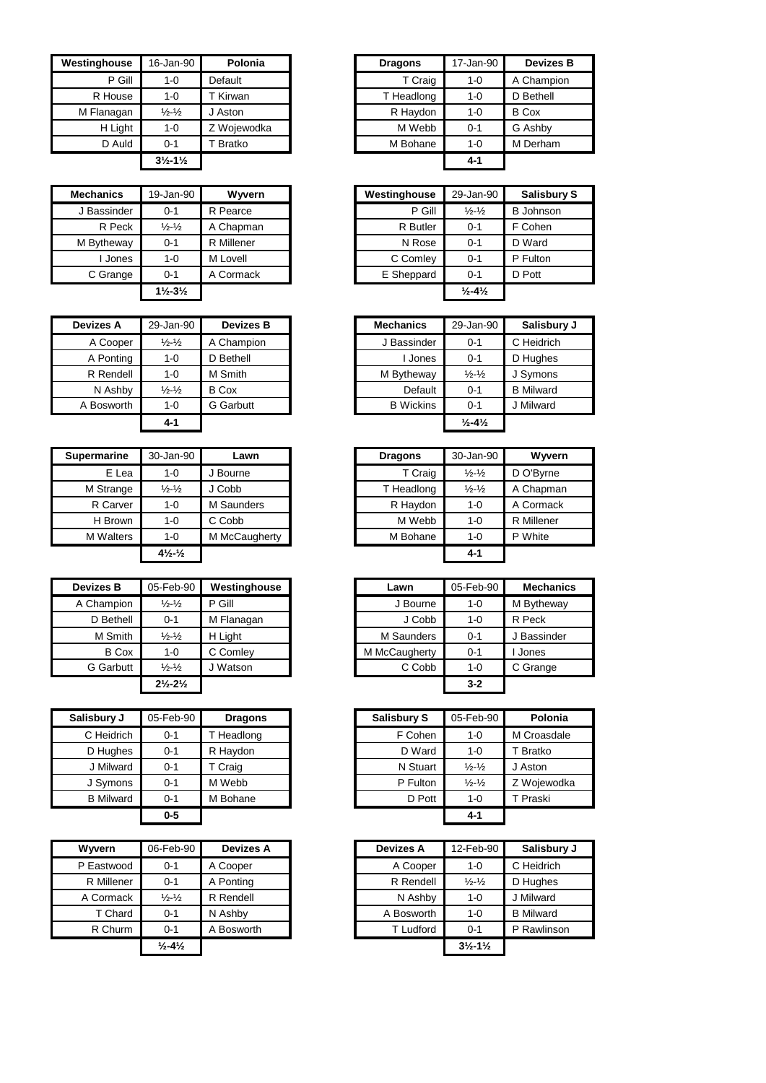| Westinghouse | 16-Jan-90                     | Polonia     | <b>Dragons</b> | 17-Jan-90 |
|--------------|-------------------------------|-------------|----------------|-----------|
| P Gill       | 1-0                           | Default     | T Craig        | 1-0       |
| R House      | $1 - 0$                       | T Kirwan    | T Headlong     | 1-0       |
| M Flanagan   | $\frac{1}{2} - \frac{1}{2}$   | J Aston     | R Haydon       | $1 - 0$   |
| H Light      | $1 - 0$                       | Z Wojewodka | M Webb         | $0 - 1$   |
| D Auld       | $0 - 1$                       | Bratko      | M Bohane       | $1 - 0$   |
|              | $3\frac{1}{2} - 1\frac{1}{2}$ |             |                | $4 - 1$   |

| <b>Mechanics</b> | 19-Jan-90                     | Wyvern     | Westinghouse | 29-Jan-90                    |
|------------------|-------------------------------|------------|--------------|------------------------------|
| J Bassinder      | $0 - 1$                       | R Pearce   | P Gill       | $\frac{1}{2} - \frac{1}{2}$  |
| R Peck           | $\frac{1}{2} - \frac{1}{2}$   | A Chapman  | R Butler     | $0 - 1$                      |
| M Bytheway       | $0 - 1$                       | R Millener | N Rose       | $0 - 1$                      |
| Jones            | $1 - 0$                       | M Lovell   | C Comley     | $0 - 1$                      |
| C Grange         | $0 - 1$                       | A Cormack  | E Sheppard   | $0 - 1$                      |
|                  | $1\frac{1}{2} - 3\frac{1}{2}$ |            |              | $\frac{1}{2} - 4\frac{1}{2}$ |

| <b>Devizes A</b> | 29-Jan-90                   | <b>Devizes B</b> | <b>Mechanics</b> | 29-Jan-90                    |
|------------------|-----------------------------|------------------|------------------|------------------------------|
| A Cooper         | $\frac{1}{2} - \frac{1}{2}$ | A Champion       | J Bassinder      | $0 - 1$                      |
| A Ponting        | $1 - 0$                     | D Bethell        | I Jones          | $0 - 1$                      |
| R Rendell        | $1 - 0$                     | M Smith          | M Bytheway       | $\frac{1}{2} - \frac{1}{2}$  |
| N Ashby          | $\frac{1}{2} - \frac{1}{2}$ | <b>B</b> Cox     | Default          | $0 - 1$                      |
| A Bosworth       | $1 - 0$                     | <b>G</b> Garbutt | <b>B</b> Wickins | $0 - 1$                      |
|                  | $4 - 1$                     |                  |                  | $\frac{1}{2} - 4\frac{1}{2}$ |

| <b>Supermarine</b> | 30-Jan-90                     | Lawn          | <b>Dragons</b> | 30-Jan-90                   |           |
|--------------------|-------------------------------|---------------|----------------|-----------------------------|-----------|
| E Lea              | 1-0                           | Bourne        | T Craig        | $\frac{1}{2} - \frac{1}{2}$ | D O'Byrne |
| M Strange          | $\frac{1}{2}$ - $\frac{1}{2}$ | J Cobb        | T Headlong     | $\frac{1}{2} - \frac{1}{2}$ | A Chapman |
| R Carver           | 1-0                           | M Saunders    | R Haydon       | $1 - 0$                     |           |
| H Brown            | $1 - 0$                       | C Cobb        | M Webb         | $1 - 0$                     |           |
| <b>M</b> Walters   | $1 - 0$                       | M McCaugherty | M Bohane       | $1 - 0$                     |           |
|                    | $4\frac{1}{2}$ $\frac{1}{2}$  |               |                | $4 - 1$                     |           |

| <b>Devizes B</b> | 05-Feb-90                     | Westinghouse | Lawn          | 05-Feb-90 | Mechanio    |
|------------------|-------------------------------|--------------|---------------|-----------|-------------|
| A Champion       | $\frac{1}{2} - \frac{1}{2}$   | P Gill       | J Bourne      | 1-0       | M Bytheway  |
| D Bethell        | $0 - 1$                       | M Flanagan   | J Cobb        | $1 - 0$   | R Peck      |
| M Smith          | $\frac{1}{2} - \frac{1}{2}$   | H Light      | M Saunders    | $0 - 1$   | J Bassinder |
| <b>B</b> Cox     | 1-0                           | C Comley     | M McCaugherty | $0 - 1$   | Jones       |
| G Garbutt        | $\frac{1}{2} - \frac{1}{2}$   | J Watson     | C Cobb        | $1 - 0$   | C Grange    |
|                  | $2\frac{1}{2} - 2\frac{1}{2}$ |              |               | $3 - 2$   |             |

| Salisbury J      | 05-Feb-90 | <b>Dragons</b> | <b>Salisbury S</b> | 05-Feb-90                   |
|------------------|-----------|----------------|--------------------|-----------------------------|
| C Heidrich       | $0 - 1$   | T Headlong     | F Cohen            | 1-0                         |
| D Hughes         | $0 - 1$   | R Haydon       | D Ward             | $1 - 0$                     |
| J Milward        | $0 - 1$   | T Craig        | N Stuart           | $\frac{1}{2} - \frac{1}{2}$ |
| J Symons         | $0 - 1$   | M Webb         | P Fulton           | $\frac{1}{2} - \frac{1}{2}$ |
| <b>B</b> Milward | $0 - 1$   | M Bohane       | D Pott             | $1 - 0$                     |
|                  | $0-5$     |                |                    | 4-1                         |

| Wyvern     | 06-Feb-90                    | <b>Devizes A</b> | <b>Devizes A</b> | 12-Feb-90                     |
|------------|------------------------------|------------------|------------------|-------------------------------|
| P Eastwood | $0 - 1$                      | A Cooper         | A Cooper         | $1 - 0$                       |
| R Millener | $0 - 1$                      | A Ponting        | R Rendell        | $\frac{1}{2} - \frac{1}{2}$   |
| A Cormack  | $\frac{1}{2} - \frac{1}{2}$  | R Rendell        | N Ashby          | $1 - 0$                       |
| T Chard    | $0 - 1$                      | N Ashby          | A Bosworth       | $1 - 0$                       |
| R Churm    | $0 - 1$                      | A Bosworth       | <b>T</b> Ludford | $0 - 1$                       |
|            | $\frac{1}{2} - 4\frac{1}{2}$ |                  |                  | $3\frac{1}{2} - 1\frac{1}{2}$ |
|            |                              |                  |                  |                               |

| <b>nghouse</b> | 16-Jan-90                     | Polonia     | <b>Dragons</b> | 17-Jan-90 | <b>Devizes B</b> |
|----------------|-------------------------------|-------------|----------------|-----------|------------------|
| P Gill         | 1-0                           | Default     | T Craig        | 1-0       | A Champion       |
| R House        | 1-0                           | `Kirwan     | T Headlong     | $1 - 0$   | D Bethell        |
| -lanagan       | $\frac{1}{2} - \frac{1}{2}$   | J Aston     | R Haydon       | $1 - 0$   | <b>B</b> Cox     |
| H Light        | 1-0                           | Z Wojewodka | M Webb         | $0 - 1$   | G Ashby          |
| D Auld         | $0 - 1$                       | Bratko      | M Bohane       | $1 - 0$   | M Derham         |
|                | $3\frac{1}{2} - 1\frac{1}{2}$ |             |                | $4 - 1$   |                  |

| Mechanics   | 19-Jan-90                     | Wyvern     | Westinghouse | 29-Jan-90                    | <b>Salisbury S</b> |
|-------------|-------------------------------|------------|--------------|------------------------------|--------------------|
| J Bassinder | $0 - 1$                       | R Pearce   | P Gill       | $\frac{1}{2} - \frac{1}{2}$  | <b>B</b> Johnson   |
| R Peck      | $\frac{1}{2} - \frac{1}{2}$   | A Chapman  | R Butler     | $0 - 1$                      | F Cohen            |
| M Bytheway  | $0 - 1$                       | R Millener | N Rose       | $0 - 1$                      | D Ward             |
| Jones       | 1-0                           | M Lovell   | C Comley     | $0 - 1$                      | P Fulton           |
| C Grange    | $0 - 1$                       | A Cormack  | E Sheppard   | $0 - 1$                      | D Pott             |
|             | $1\frac{1}{2} - 3\frac{1}{2}$ |            |              | $\frac{1}{2} - 4\frac{1}{2}$ |                    |

| 29-Jan-90                     | <b>Devizes B</b> | <b>Mechanics</b> | 29-Jan-90                    | Salisbury J      |
|-------------------------------|------------------|------------------|------------------------------|------------------|
| $\frac{1}{2}$ - $\frac{1}{2}$ | A Champion       | J Bassinder      | $0 - 1$                      | C Heidrich       |
| $1 - 0$                       | D Bethell        | Jones            | $0 - 1$                      | D Hughes         |
| $1 - 0$                       | M Smith          | M Bytheway       | $\frac{1}{2} - \frac{1}{2}$  | J Symons         |
| $\frac{1}{2}$ - $\frac{1}{2}$ | B Cox            | Default          | $0 - 1$                      | <b>B</b> Milward |
| $1 - 0$                       | <b>G</b> Garbutt | <b>B</b> Wickins | $0 - 1$                      | J Milward        |
| 4-1                           |                  |                  | $\frac{1}{2} - 4\frac{1}{2}$ |                  |
|                               |                  |                  |                              |                  |

| 30-Jan-90                                   | Lawn          | <b>Dragons</b> |  | 30-Jan-90                                               |  |
|---------------------------------------------|---------------|----------------|--|---------------------------------------------------------|--|
| $1 - 0$                                     | J Bourne      |                |  | $\frac{1}{2} - \frac{1}{2}$                             |  |
| $\frac{1}{2} - \frac{1}{2}$                 | J Cobb        |                |  | $\frac{1}{2} - \frac{1}{2}$                             |  |
| $1 - 0$                                     | M Saunders    |                |  | $1 - 0$                                                 |  |
| $1 - 0$                                     | C Cobb        |                |  | $1 - 0$                                                 |  |
| $1 - 0$                                     | M McCaugherty |                |  | $1 - 0$                                                 |  |
| $4\frac{1}{2}$ <sup>-1</sup> / <sub>2</sub> |               |                |  | 4-1                                                     |  |
|                                             |               |                |  | T Craig<br>T Headlong<br>R Haydon<br>M Webb<br>M Bohane |  |

| Devizes B        | 05-Feb-90                     | Westinghouse | Lawn          | 05-Feb-90 | <b>Mechanics</b> |
|------------------|-------------------------------|--------------|---------------|-----------|------------------|
| A Champion       | $\frac{1}{2}$ - $\frac{1}{2}$ | P Gill       | J Bourne      | 1-0       | M Bytheway       |
| D Bethell        | $0 - 1$                       | M Flanagan   | J Cobb        | $1 - 0$   | R Peck           |
| M Smith          | $\frac{1}{2}$ - $\frac{1}{2}$ | H Light      | M Saunders    | $0 - 1$   | J Bassinder      |
| <b>B</b> Cox     | $1 - 0$                       | C Comley     | M McCaugherty | $0 - 1$   | Jones            |
| <b>G</b> Garbutt | $\frac{1}{2}$ - $\frac{1}{2}$ | Watson       | C Cobb        | $1 - 0$   | C Grange         |
|                  | $2\frac{1}{2} - 2\frac{1}{2}$ |              |               | $3 - 2$   |                  |

| isbury J         | 05-Feb-90 | <b>Dragons</b> |
|------------------|-----------|----------------|
| C Heidrich       | $0 - 1$   | T Headlong     |
| D Hughes         | $0 - 1$   | R Haydon       |
| J Milward        | $0 - 1$   | T Craig        |
| J Symons         | $0 - 1$   | M Webb         |
| <b>B</b> Milward | $0 - 1$   | M Bohane       |
|                  | $0-5$     |                |
|                  |           |                |

| Wyvern     | 06-Feb-90                    | <b>Devizes A</b> | <b>Devizes A</b> | 12-Feb-90                     | Salisbury J      |
|------------|------------------------------|------------------|------------------|-------------------------------|------------------|
| P Eastwood | $0 - 1$                      | A Cooper         | A Cooper         | $1 - 0$                       | C Heidrich       |
| R Millener | $0 - 1$                      | A Ponting        | R Rendell        | $\frac{1}{2} - \frac{1}{2}$   | D Hughes         |
| A Cormack  | $\frac{1}{2} - \frac{1}{2}$  | R Rendell        | N Ashby          | $1 - 0$                       | J Milward        |
| T Chard    | $0 - 1$                      | N Ashby          | A Bosworth       | $1 - 0$                       | <b>B</b> Milward |
| R Churm    | $0 - 1$                      | A Bosworth       | <b>T</b> Ludford | $0 - 1$                       | P Rawlinson      |
|            | $\frac{1}{2} - 4\frac{1}{2}$ |                  |                  | $3\frac{1}{2} - 1\frac{1}{2}$ |                  |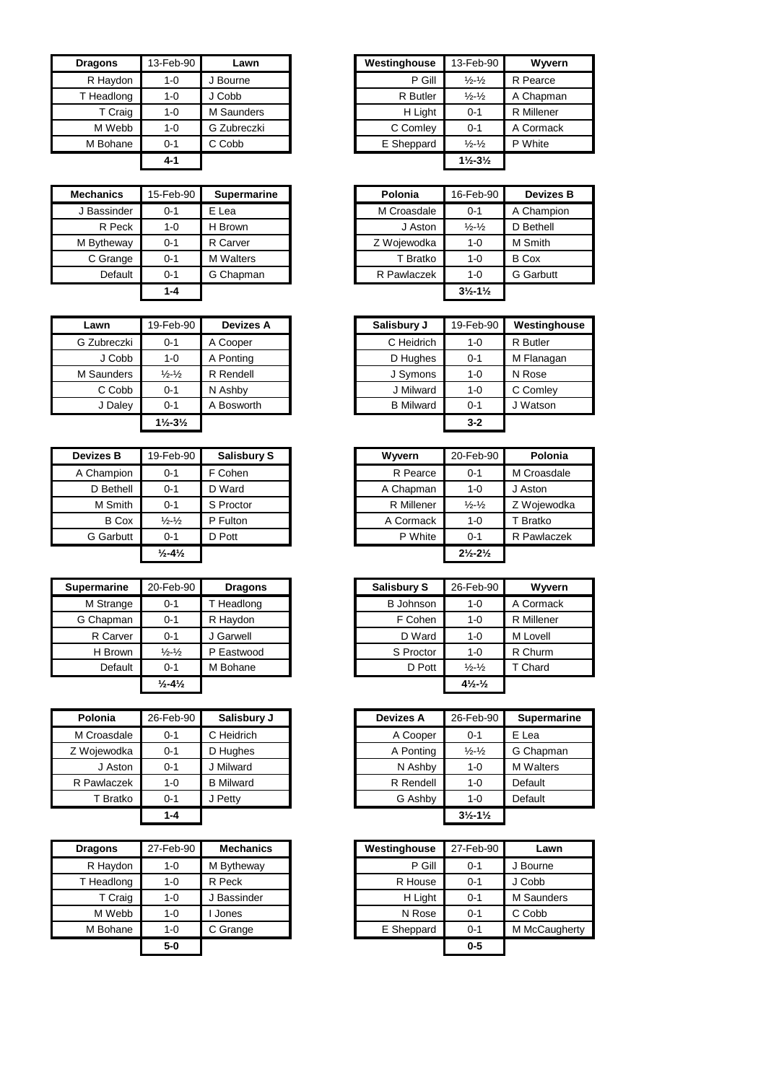| <b>Dragons</b> | 13-Feb-90 | Lawn        | Westinghouse | 13-Feb-90                     | <b>Wyve</b> |
|----------------|-----------|-------------|--------------|-------------------------------|-------------|
| R Haydon       | $1 - 0$   | J Bourne    | P Gill       | $\frac{1}{2} - \frac{1}{2}$   | R Pearce    |
| T Headlong     | $1 - 0$   | J Cobb      | R Butler     | $\frac{1}{2} - \frac{1}{2}$   | A Chapm     |
| T Craig        | $1 - 0$   | M Saunders  | H Light      | $0 - 1$                       | R Millene   |
| M Webb         | $1 - 0$   | G Zubreczki | C Comley     | $0 - 1$                       | A Corma     |
| M Bohane       | $0 - 1$   | C Cobb      | E Sheppard   | $\frac{1}{2} - \frac{1}{2}$   | P White     |
|                | 4-1       |             |              | $1\frac{1}{2} - 3\frac{1}{2}$ |             |

| <b>Mechanics</b> | 15-Feb-90 | Supermarine      | Polonia     | 16-Feb-90                     | Deviz        |
|------------------|-----------|------------------|-------------|-------------------------------|--------------|
| J Bassinder      | $0 - 1$   | E Lea            | M Croasdale | $0 - 1$                       | A Cham       |
| R Peck           | $1 - 0$   | H Brown          | J Aston     | $\frac{1}{2} - \frac{1}{2}$   | D Bethe      |
| M Bytheway       | $0 - 1$   | R Carver         | Z Wojewodka | 1-0                           | M Smith      |
| C Grange         | $0 - 1$   | <b>M</b> Walters | T Bratko    | $1 - 0$                       | <b>B</b> Cox |
| Default          | $0 - 1$   | G Chapman        | R Pawlaczek | $1 - 0$                       | G Garbu      |
|                  | $1 - 4$   |                  |             | $3\frac{1}{2} - 1\frac{1}{2}$ |              |

| Lawn        | 19-Feb-90                     | <b>Devizes A</b> | Salisbury J      | 19-Feb-90 | Westin   |
|-------------|-------------------------------|------------------|------------------|-----------|----------|
| G Zubreczki | $0 - 1$                       | A Cooper         | C Heidrich       | $1 - 0$   | R Butler |
| J Cobb      | $1 - 0$                       | A Ponting        | D Hughes         | $0 - 1$   | M Flana  |
| M Saunders  | $\frac{1}{2} - \frac{1}{2}$   | R Rendell        | J Symons         | 1-0       | N Rose   |
| C Cobb      | $0 - 1$                       | N Ashby          | J Milward        | $1 - 0$   | C Coml   |
| J Daley     | $0 - 1$                       | A Bosworth       | <b>B</b> Milward | $0 - 1$   | J Watso  |
|             | $1\frac{1}{2} - 3\frac{1}{2}$ |                  |                  | $3 - 2$   |          |

| <b>Devizes B</b> | 19-Feb-90                     | <b>Salisbury S</b> | Wyvern     | 20-Feb-90                     |             |
|------------------|-------------------------------|--------------------|------------|-------------------------------|-------------|
| A Champion       | $0 - 1$                       | F Cohen            | R Pearce   | 0-1                           | M Croasdale |
| D Bethell        | $0 - 1$                       | D Ward             | A Chapman  | $1 - 0$                       | J Aston     |
| M Smith          | $0 - 1$                       | S Proctor          | R Millener | $\frac{1}{2} - \frac{1}{2}$   | Z Wojewodł  |
| <b>B</b> Cox     | $\frac{1}{2}$ - $\frac{1}{2}$ | P Fulton           | A Cormack  | $1 - 0$                       | T Bratko    |
| G Garbutt        | $0 - 1$                       | D Pott             | P White    | $0 - 1$                       | R Pawlacze  |
|                  | $\frac{1}{2} - 4\frac{1}{2}$  |                    |            | $2\frac{1}{2} - 2\frac{1}{2}$ |             |

| Supermarine | 20-Feb-90                     | <b>Dragons</b> | <b>Salisbury S</b> | 26-Feb-90                      | Wyvern            |
|-------------|-------------------------------|----------------|--------------------|--------------------------------|-------------------|
| M Strange   | $0 - 1$                       | Headlong       | <b>B</b> Johnson   | 1-0                            | A Cormack         |
| G Chapman   | $0 - 1$                       | R Haydon       | F Cohen            | $1 - 0$                        | <b>R</b> Millener |
| R Carver    | $0 - 1$                       | J Garwell      | D Ward             | $1 - 0$                        | M Lovell          |
| H Brown     | $\frac{1}{2}$ - $\frac{1}{2}$ | P Eastwood     | S Proctor          | $1 - 0$                        | R Churm           |
| Default     | $0 - 1$                       | M Bohane       | D Pott             | $\frac{1}{2} - \frac{1}{2}$    | T Chard           |
|             | $\frac{1}{2} - 4\frac{1}{2}$  |                |                    | $4\frac{1}{2}$ - $\frac{1}{2}$ |                   |

| Polonia     | 26-Feb-90 | Salisbury J      | <b>Devizes A</b> | 26-Feb-90                     | <b>Supermar</b>  |
|-------------|-----------|------------------|------------------|-------------------------------|------------------|
| M Croasdale | $0 - 1$   | C Heidrich       | A Cooper         | $0 - 1$                       | E Lea            |
| Z Wojewodka | $0 - 1$   | D Hughes         | A Ponting        | $\frac{1}{2} - \frac{1}{2}$   | G Chapman        |
| J Aston     | $0 - 1$   | J Milward        | N Ashby          | $1 - 0$                       | <b>M</b> Walters |
| R Pawlaczek | 1-0       | <b>B</b> Milward | R Rendell        | $1 - 0$                       | Default          |
| T Bratko    | $0 - 1$   | J Petty          | G Ashby          | $1 - 0$                       | Default          |
|             | 1-4       |                  |                  | $3\frac{1}{2} - 1\frac{1}{2}$ |                  |

| 27-Feb-90 | <b>Mechanics</b> |            | 27-Feb-90    |
|-----------|------------------|------------|--------------|
| $1 - 0$   | M Bytheway       | P Gill     | $0 - 1$      |
| $1 - 0$   | R Peck           | R House    | $0 - 1$      |
| $1 - 0$   | <b>Bassinder</b> | H Light    | $0 - 1$      |
| $1 - 0$   | Jones            | N Rose     | $0 - 1$      |
| $1 - 0$   | C Grange         | E Sheppard | $0 - 1$      |
| 5-0       |                  |            | $0 - 5$      |
|           |                  |            | Westinghouse |

| <b>Dragons</b> | 13-Feb-90 | Lawn        |
|----------------|-----------|-------------|
| R Haydon       | 1-0       | Bourne      |
| T Headlong     | $1 - 0$   | J Cobb      |
| T Craig        | $1 - 0$   | M Saunders  |
| M Webb         | $1 - 0$   | G Zubreczki |
| M Bohane       | $0 - 1$   | C Cobb      |
|                | $4 - 1$   |             |

| Mechanics   | 15-Feb-90 | <b>Supermarine</b> | Polonia     | 16-Feb-90                     | <b>Devizes B</b> |
|-------------|-----------|--------------------|-------------|-------------------------------|------------------|
| J Bassinder | $0 - 1$   | E Lea              | M Croasdale | $0 - 1$                       | A Champion       |
| R Peck      | 1-0       | H Brown            | J Aston     | $\frac{1}{2} - \frac{1}{2}$   | D Bethell        |
| M Bytheway  | $0 - 1$   | R Carver           | Z Wojewodka | $1 - 0$                       | M Smith          |
| C Grange    | $0 - 1$   | <b>M</b> Walters   | T Bratko    | $1 - 0$                       | <b>B</b> Cox     |
| Default     | $0 - 1$   | G Chapman          | R Pawlaczek | $1 - 0$                       | <b>G</b> Garbutt |
|             | 1-4       |                    |             | $3\frac{1}{2} - 1\frac{1}{2}$ |                  |

| Lawn       | 19-Feb-90                     | <b>Devizes A</b> |
|------------|-------------------------------|------------------|
| Zubreczki  | $0 - 1$                       | A Cooper         |
| J Cobb     | $1 - 0$                       | A Ponting        |
| 1 Saunders | $\frac{1}{2} - \frac{1}{2}$   | R Rendell        |
| C Cobb     | $0 - 1$                       | N Ashby          |
| J Daley    | $0 - 1$                       | A Bosworth       |
|            | $1\frac{1}{2} - 3\frac{1}{2}$ |                  |

| <b>Devizes B</b> | 19-Feb-90                    | <b>Salisbury S</b> | Wwern      | 20-Feb-90                     | Polonia     |
|------------------|------------------------------|--------------------|------------|-------------------------------|-------------|
| A Champion       | 0-1                          | F Cohen            | R Pearce   | $0 - 1$                       | M Croasdale |
| D Bethell        | 0-1                          | D Ward             | A Chapman  | 1-0                           | J Aston     |
| M Smith          | $0 - 1$                      | S Proctor          | R Millener | $\frac{1}{2} - \frac{1}{2}$   | Z Wojewodka |
| <b>B</b> Cox     | $\frac{1}{2} - \frac{1}{2}$  | P Fulton           | A Cormack  | $1 - 0$                       | T Bratko    |
| G Garbutt        | $0 - 1$                      | D Pott             | P White    | $0 - 1$                       | R Pawlaczek |
|                  | $\frac{1}{2} - 4\frac{1}{2}$ |                    |            | $2\frac{1}{2} - 2\frac{1}{2}$ |             |

| ermarine  | 20-Feb-90                    | <b>Dragons</b> |
|-----------|------------------------------|----------------|
| M Strange | $0 - 1$                      | T Headlong     |
| Chapman   | $0 - 1$                      | R Haydon       |
| R Carver  | $0 - 1$                      | J Garwell      |
| H Brown   | $\frac{1}{2} - \frac{1}{2}$  | P Eastwood     |
| Default   | $0 - 1$                      | M Bohane       |
|           | $\frac{1}{2} - 4\frac{1}{2}$ |                |

| Polonia             | 26-Feb-90 | Salisbury J      |
|---------------------|-----------|------------------|
| A Croasdale         | $0 - 1$   | C Heidrich       |
| Wojewodka           | $0 - 1$   | D Hughes         |
| J Aston             | $0 - 1$   | J Milward        |
| Pawlaczek           | $1 - 0$   | <b>B</b> Milward |
| <sup>-</sup> Bratko | $0 - 1$   | J Petty          |
|                     | $1 - 4$   |                  |
|                     |           |                  |

| aqons    | 27-Feb-90 | <b>Mechanics</b> | Westinghouse | 27-Feb-90 |          |
|----------|-----------|------------------|--------------|-----------|----------|
| R Haydon | $1 - 0$   | M Bytheway       | P Gill       | $0 - 1$   | J Bourne |
| Headlong | $1 - 0$   | R Peck           | R House      | $0 - 1$   |          |
| T Craig  | $1 - 0$   | J Bassinder      | H Light      | $0 - 1$   |          |
| M Webb   | $1 - 0$   | Jones            | N Rose       | $0 - 1$   |          |
| M Bohane | $1 - 0$   | C Grange         | E Sheppard   | $0 - 1$   |          |
|          | $5-0$     |                  |              | $0 - 5$   |          |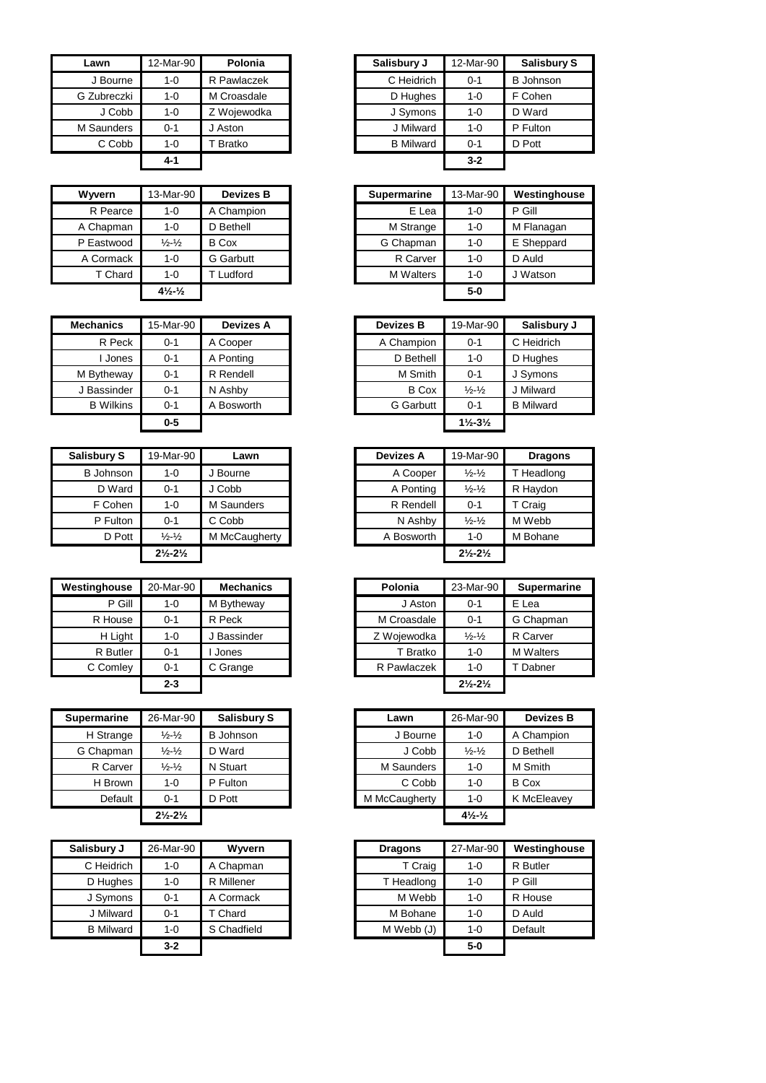| Lawn        | 12-Mar-90 | Polonia     | Salisbury J      | 12-Mar-90 |
|-------------|-----------|-------------|------------------|-----------|
| J Bourne    | $1 - 0$   | R Pawlaczek | C Heidrich       | $0 - 1$   |
| G Zubreczki | $1 - 0$   | M Croasdale | D Hughes         | $1 - 0$   |
| J Cobb      | $1 - 0$   | Z Wojewodka | J Symons         | $1 - 0$   |
| M Saunders  | $0 - 1$   | J Aston     | J Milward        | $1 - 0$   |
| C Cobb      | $1 - 0$   | Bratko      | <b>B</b> Milward | $0 - 1$   |
|             | 4-1       |             |                  | $3 - 2$   |

| Wyvern     | 13-Mar-90                      | <b>Devizes B</b> | Supermarine      | 13-Mar-90 |  |
|------------|--------------------------------|------------------|------------------|-----------|--|
| R Pearce   | $1 - 0$                        | A Champion       | E Lea            | $1 - 0$   |  |
| A Chapman  | $1 - 0$                        | D Bethell        | M Strange        | $1 - 0$   |  |
| P Eastwood | $\frac{1}{2} - \frac{1}{2}$    | <b>B</b> Cox     | G Chapman        | $1 - 0$   |  |
| A Cormack  | $1 - 0$                        | <b>G</b> Garbutt | R Carver         | $1 - 0$   |  |
| T Chard    | $1 - 0$                        | T Ludford        | <b>M</b> Walters | $1 - 0$   |  |
|            | $4\frac{1}{2}$ - $\frac{1}{2}$ |                  |                  | $5-0$     |  |

| <b>Mechanics</b> | 15-Mar-90 | <b>Devizes A</b> | <b>Devizes B</b> | 19-Mar-90                     | Salisbu          |
|------------------|-----------|------------------|------------------|-------------------------------|------------------|
| R Peck           | $0 - 1$   | A Cooper         | A Champion       | $0 - 1$                       | C Heidrich       |
| Jones            | $0 - 1$   | A Ponting        | D Bethell        | $1 - 0$                       | D Hughes         |
| M Bytheway       | $0 - 1$   | R Rendell        | M Smith          | $0 - 1$                       | J Symons         |
| J Bassinder      | $0 - 1$   | N Ashby          | <b>B</b> Cox     | $\frac{1}{2} - \frac{1}{2}$   | J Milward        |
| <b>B</b> Wilkins | $0 - 1$   | A Bosworth       | <b>G</b> Garbutt | $0 - 1$                       | <b>B</b> Milward |
|                  | $0-5$     |                  |                  | $1\frac{1}{2} - 3\frac{1}{2}$ |                  |

| <b>Salisbury S</b> | 19-Mar-90                     | Lawn          | <b>Devizes A</b> | 19-Mar-90                     | <b>Dragons</b> |
|--------------------|-------------------------------|---------------|------------------|-------------------------------|----------------|
| <b>B</b> Johnson   | 1-0                           | J Bourne      | A Cooper         | $\frac{1}{2} - \frac{1}{2}$   | T Headlong     |
| D Ward             | 0-1                           | J Cobb        | A Ponting        | $\frac{1}{2} - \frac{1}{2}$   | R Haydon       |
| F Cohen            | 1-0                           | M Saunders    | R Rendell        | $0 - 1$                       | T Craig        |
| P Fulton           | 0-1                           | C Cobb        | N Ashby          | $\frac{1}{2} - \frac{1}{2}$   | M Webb         |
| D Pott             | $\frac{1}{2} - \frac{1}{2}$   | M McCaugherty | A Bosworth       | 1-0                           | M Bohane       |
|                    | $2\frac{1}{2} - 2\frac{1}{2}$ |               |                  | $2\frac{1}{2} - 2\frac{1}{2}$ |                |

| Westinghouse | 20-Mar-90 | <b>Mechanics</b> | Polonia     | 23-Mar-90                     | <b>Supermarine</b> |
|--------------|-----------|------------------|-------------|-------------------------------|--------------------|
| P Gill       | $1 - 0$   | M Bytheway       | J Aston     | $0 - 1$                       | E Lea              |
| R House      | $0 - 1$   | R Peck           | M Croasdale | $0 - 1$                       | G Chapman          |
| H Light      | 1-0       | Bassinder        | Z Wojewodka | $\frac{1}{2} - \frac{1}{2}$   | R Carver           |
| R Butler     | $0 - 1$   | Jones            | T Bratko    | $1 - 0$                       | <b>M</b> Walters   |
| C Comley     | $0 - 1$   | C Grange         | R Pawlaczek | 1-0                           | Dabner             |
|              | $2 - 3$   |                  |             | $2\frac{1}{2} - 2\frac{1}{2}$ |                    |

| <b>Supermarine</b> | 26-Mar-90                     | <b>Salisbury S</b> | Lawn          | 26-Mar-90                      | <b>Devizes B</b> |
|--------------------|-------------------------------|--------------------|---------------|--------------------------------|------------------|
| H Strange          | $\frac{1}{2} - \frac{1}{2}$   | <b>B</b> Johnson   | J Bourne      | $1 - 0$                        | A Champion       |
| G Chapman          | $\frac{1}{2} - \frac{1}{2}$   | D Ward             | J Cobb        | $\frac{1}{2} - \frac{1}{2}$    | D Bethell        |
| R Carver           | $\frac{1}{2} - \frac{1}{2}$   | N Stuart           | M Saunders    | $1 - 0$                        | M Smith          |
| H Brown            | $1 - 0$                       | P Fulton           | C Cobb        | 1-0                            | B Cox            |
| Default            | $0 - 1$                       | D Pott             | M McCaugherty | 1-0                            | K McEleavey      |
|                    | $2\frac{1}{2} - 2\frac{1}{2}$ |                    |               | $4\frac{1}{2}$ - $\frac{1}{2}$ |                  |

| Salisbury J      | 26-Mar-90 | Wyvern      | <b>Dragons</b> | 27-Mar-90 |
|------------------|-----------|-------------|----------------|-----------|
| C Heidrich       | $1 - 0$   | A Chapman   | T Craig        | 1-0       |
| D Hughes         | $1 - 0$   | R Millener  | T Headlong     | 1-0       |
| J Symons         | $0 - 1$   | A Cormack   | M Webb         | 1-0       |
| J Milward        | $0 - 1$   | T Chard     | M Bohane       | 1-0       |
| <b>B</b> Milward | $1 - 0$   | S Chadfield | M Webb (J)     | $1 - 0$   |
|                  | $3 - 2$   |             |                | $5-0$     |

| Lawn       | 12-Mar-90 | Polonia     | Salisbury J      | 12-Mar-90 | <b>Salisbury S</b> |
|------------|-----------|-------------|------------------|-----------|--------------------|
| J Bourne   | 1-0       | R Pawlaczek | C Heidrich       | $0 - 1$   | <b>B</b> Johnson   |
| Zubreczki  | 1-0       | M Croasdale | D Hughes         | 1-0       | F Cohen            |
| J Cobb     | $1 - 0$   | Z Wojewodka | J Symons         | $1 - 0$   | D Ward             |
| 1 Saunders | $0 - 1$   | J Aston     | J Milward        | $1 - 0$   | P Fulton           |
| C Cobb     | $1 - 0$   | Bratko      | <b>B</b> Milward | $0 - 1$   | D Pott             |
|            | $4 - 1$   |             |                  | $3 - 2$   |                    |

| Wyvern     | 13-Mar-90                    | <b>Devizes B</b> |
|------------|------------------------------|------------------|
| R Pearce   | $1 - 0$                      | A Champion       |
| A Chapman  | $1 - 0$                      | D Bethell        |
| P Eastwood | $\frac{1}{2} - \frac{1}{2}$  | B Cox            |
| A Cormack  | $1 - 0$                      | <b>G</b> Garbutt |
| T Chard    | $1 - 0$                      | T Ludford        |
|            | $4\frac{1}{2}$ $\frac{1}{2}$ |                  |

| Mechanics        | 15-Mar-90 | <b>Devizes A</b> | <b>Devizes B</b> | 19-Mar-90                     | Salisbury J      |
|------------------|-----------|------------------|------------------|-------------------------------|------------------|
| R Peck           | $0 - 1$   | A Cooper         | A Champion       | $0 - 1$                       | C Heidrich       |
| Jones            | $0 - 1$   | A Ponting        | D Bethell        | 1-0                           | D Hughes         |
| M Bytheway       | $0 - 1$   | R Rendell        | M Smith          | $0 - 1$                       | J Symons         |
| J Bassinder      | $0 - 1$   | N Ashby          | <b>B</b> Cox     | $\frac{1}{2} - \frac{1}{2}$   | J Milward        |
| <b>B</b> Wilkins | $0 - 1$   | A Bosworth       | <b>G</b> Garbutt | $0 - 1$                       | <b>B</b> Milward |
|                  | $0-5$     |                  |                  | $1\frac{1}{2} - 3\frac{1}{2}$ |                  |

| 19-Mar-90                     | Lawn          |  | <b>Devizes A</b> | 19-Mar-90                     |
|-------------------------------|---------------|--|------------------|-------------------------------|
| 1-0                           | J Bourne      |  | A Cooper         | $\frac{1}{2} - \frac{1}{2}$   |
| $0 - 1$                       | J Cobb        |  | A Ponting        | $\frac{1}{2} - \frac{1}{2}$   |
| $1 - 0$                       | M Saunders    |  | R Rendell        | $0 - 1$                       |
| $0 - 1$                       | C Cobb        |  | N Ashby          | $\frac{1}{2} - \frac{1}{2}$   |
| $\frac{1}{2} - \frac{1}{2}$   | M McCaugherty |  | A Bosworth       | 1-0                           |
| $2\frac{1}{2} - 2\frac{1}{2}$ |               |  |                  | $2\frac{1}{2} - 2\frac{1}{2}$ |
|                               |               |  |                  |                               |

| 20-Mar-90 | <b>Mechanics</b> | Polonia     | 23-Mar-90                     | <b>Supermarine</b> |
|-----------|------------------|-------------|-------------------------------|--------------------|
| $1 - 0$   | M Bytheway       | J Aston     | $0 - 1$                       | E Lea              |
| $0 - 1$   | R Peck           | M Croasdale | $0 - 1$                       | G Chapman          |
| $1 - 0$   | J Bassinder      | Z Wojewodka | $\frac{1}{2} - \frac{1}{2}$   | R Carver           |
| $0 - 1$   | Jones            | T Bratko    | $1 - 0$                       | <b>M</b> Walters   |
| $0 - 1$   | C Grange         | R Pawlaczek | $1 - 0$                       | T Dabner           |
| $2 - 3$   |                  |             | $2\frac{1}{2} - 2\frac{1}{2}$ |                    |
|           |                  |             |                               |                    |

| ermarine  | 26-Mar-90                     | <b>Salisbury S</b> | Lawn          | 26-Mar-90                      | <b>Devizes B</b> |
|-----------|-------------------------------|--------------------|---------------|--------------------------------|------------------|
| H Strange | $\frac{1}{2} - \frac{1}{2}$   | <b>B</b> Johnson   | J Bourne      | $1 - 0$                        | A Champion       |
| Chapman   | $\frac{1}{2} - \frac{1}{2}$   | D Ward             | J Cobb        | $\frac{1}{2} - \frac{1}{2}$    | D Bethell        |
| R Carver  | $\frac{1}{2} - \frac{1}{2}$   | N Stuart           | M Saunders    | $1 - 0$                        | M Smith          |
| H Brown   | $1 - 0$                       | P Fulton           | C Cobb        | $1 - 0$                        | <b>B</b> Cox     |
| Default   | $0 - 1$                       | D Pott             | M McCaugherty | $1 - 0$                        | K McEleavey      |
|           | $2\frac{1}{2} - 2\frac{1}{2}$ |                    |               | $4\frac{1}{2}$ - $\frac{1}{2}$ |                  |

| Salisbury J      | 26-Mar-90 | Wyvern      | <b>Dragons</b> | 27-Mar-90 | Westinghouse |
|------------------|-----------|-------------|----------------|-----------|--------------|
| C Heidrich       | 1-0       | A Chapman   | T Craig        | $1 - 0$   | R Butler     |
| D Hughes         | $1 - 0$   | R Millener  | T Headlong     | $1 - 0$   | P Gill       |
| J Symons         | $0 - 1$   | A Cormack   | M Webb         | $1 - 0$   | R House      |
| J Milward        | $0 - 1$   | T Chard     | M Bohane       | $1 - 0$   | D Auld       |
| <b>B</b> Milward | $1 - 0$   | S Chadfield | M Webb (J)     | $1 - 0$   | Default      |
|                  | $3 - 2$   |             |                | $5-0$     |              |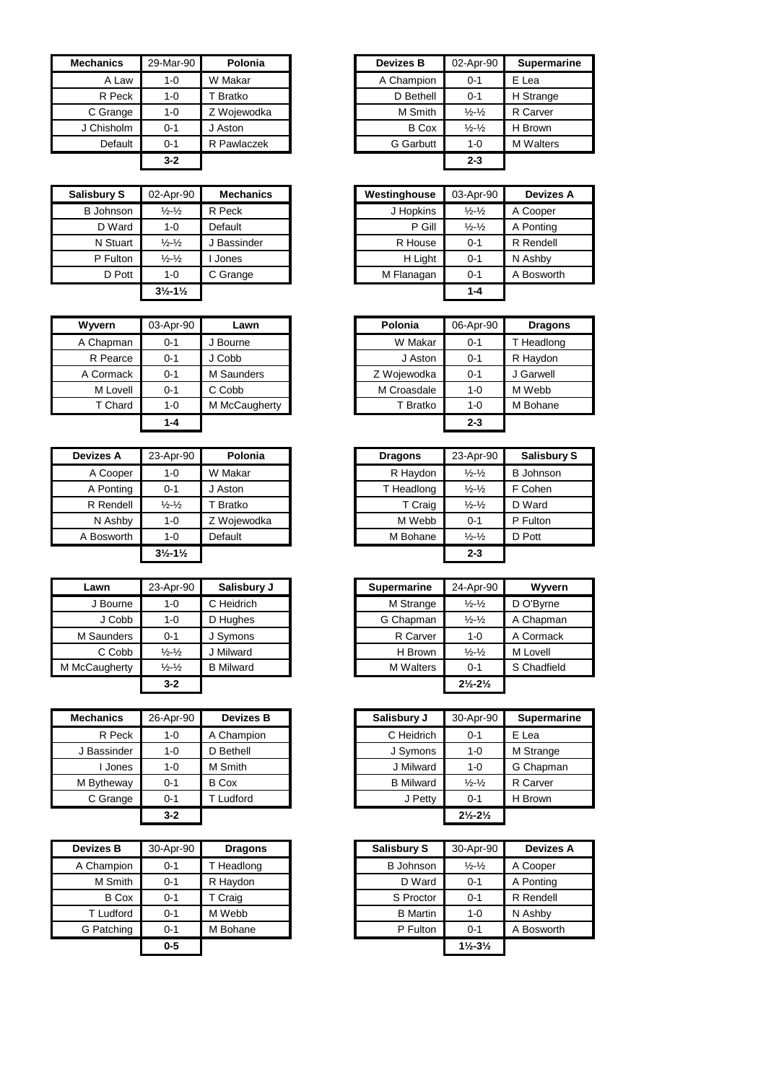| <b>Mechanics</b> | 29-Mar-90 | Polonia     | <b>Devizes B</b> | 02-Apr-90                   | Supern   |
|------------------|-----------|-------------|------------------|-----------------------------|----------|
| A Law            | $1 - 0$   | W Makar     | A Champion       | $0 - 1$                     | E Lea    |
| R Peck           | $1 - 0$   | Bratko      | D Bethell        | $0 - 1$                     | H Strang |
| C Grange         | $1 - 0$   | Z Wojewodka | M Smith          | $\frac{1}{2} - \frac{1}{2}$ | R Carver |
| J Chisholm       | $0 - 1$   | J Aston     | <b>B</b> Cox     | $\frac{1}{2} - \frac{1}{2}$ | H Brown  |
| Default          | $0 - 1$   | R Pawlaczek | <b>G</b> Garbutt | $1 - 0$                     | M Walter |
|                  | $3-2$     |             |                  | $2 - 3$                     |          |

| <b>Salisbury S</b> | 02-Apr-90                     | <b>Mechanics</b> | Westinghouse | 03-Apr-90                   | <b>Devizes A</b> |
|--------------------|-------------------------------|------------------|--------------|-----------------------------|------------------|
| <b>B</b> Johnson   | $\frac{1}{2}$ - $\frac{1}{2}$ | R Peck           | J Hopkins    | $\frac{1}{2} - \frac{1}{2}$ | A Cooper         |
| D Ward             | 1-0                           | Default          | P Gill       | $\frac{1}{2} - \frac{1}{2}$ | A Ponting        |
| N Stuart           | $\frac{1}{2} - \frac{1}{2}$   | J Bassinder      | R House      | $0 - 1$                     | R Rendell        |
| P Fulton           | $\frac{1}{2} - \frac{1}{2}$   | Jones            | H Light      | $0 - 1$                     | N Ashby          |
| D Pott             | $1 - 0$                       | C Grange         | M Flanagan   | $0 - 1$                     | A Bosworth       |
|                    | $3\frac{1}{2} - 1\frac{1}{2}$ |                  |              | $1 - 4$                     |                  |

| Wyvern    | 03-Apr-90 | Lawn          | Polonia     | 06-Apr-90 | <b>Dragon</b> |
|-----------|-----------|---------------|-------------|-----------|---------------|
| A Chapman | 0-1       | J Bourne      | W Makar     | $0 - 1$   | T Headlong    |
| R Pearce  | $0 - 1$   | J Cobb        | J Aston     | $0 - 1$   | R Haydon      |
| A Cormack | 0-1       | M Saunders    | Z Wojewodka | $0 - 1$   | J Garwell     |
| M Lovell  | $0 - 1$   | C Cobb        | M Croasdale | $1 - 0$   | M Webb        |
| T Chard   | 1-0       | M McCaugherty | T Bratko    | 1-0       | M Bohane      |
|           | $1 - 4$   |               |             | $2 - 3$   |               |

| <b>Devizes A</b> | 23-Apr-90                     | Polonia     | <b>Dragons</b> | 23-Apr-90                   | <b>Salisb</b> |
|------------------|-------------------------------|-------------|----------------|-----------------------------|---------------|
| A Cooper         | 1-0                           | W Makar     | R Haydon       | $\frac{1}{2} - \frac{1}{2}$ | B Johns       |
| A Ponting        | $0 - 1$                       | J Aston     | T Headlong     | $\frac{1}{2} - \frac{1}{2}$ | F Cohen       |
| R Rendell        | $\frac{1}{2}$ - $\frac{1}{2}$ | Bratko      | T Craig        | $\frac{1}{2} - \frac{1}{2}$ | D Ward        |
| N Ashby          | $1 - 0$                       | Z Woiewodka | M Webb         | $0 - 1$                     | P Fulton      |
| A Bosworth       | $1 - 0$                       | Default     | M Bohane       | $\frac{1}{2} - \frac{1}{2}$ | D Pott        |
|                  | $3\frac{1}{2} - 1\frac{1}{2}$ |             |                | $2 - 3$                     |               |

| Lawn          | 23-Apr-90                   | Salisbury J      | <b>Supermarine</b> |                  | 24-Apr-90                     | Wyverr      |
|---------------|-----------------------------|------------------|--------------------|------------------|-------------------------------|-------------|
| J Bourne      | 1-0                         | C Heidrich       |                    | M Strange        | $\frac{1}{2}$ $\frac{1}{2}$   | D O'Byrne   |
| J Cobb        | 1-0                         | D Hughes         |                    | G Chapman        | $\frac{1}{2}$ - $\frac{1}{2}$ | A Chapmar   |
| M Saunders    | 0-1                         | J Symons         |                    | R Carver         | $1 - 0$                       | A Cormack   |
| C Cobb        | $\frac{1}{2} - \frac{1}{2}$ | J Milward        |                    | H Brown          | $\frac{1}{2} - \frac{1}{2}$   | M Lovell    |
| M McCaugherty | $\frac{1}{2} - \frac{1}{2}$ | <b>B</b> Milward |                    | <b>M</b> Walters | $0 - 1$                       | S Chadfield |
|               | $3 - 2$                     |                  |                    |                  | $2\frac{1}{2} - 2\frac{1}{2}$ |             |

| <b>Mechanics</b> | 26-Apr-90 | <b>Devizes B</b> | Salisbury J      | 30-Apr-90                     | <b>Superma</b> |
|------------------|-----------|------------------|------------------|-------------------------------|----------------|
| R Peck           | 1-0       | A Champion       | C Heidrich       | $0 - 1$                       | E Lea          |
| J Bassinder      | $1 - 0$   | D Bethell        | J Symons         | $1 - 0$                       | M Strange      |
| Jones            | $1 - 0$   | M Smith          | J Milward        | $1 - 0$                       | G Chapma       |
| M Bytheway       | $0 - 1$   | B Cox            | <b>B</b> Milward | $\frac{1}{2} - \frac{1}{2}$   | R Carver       |
| C Grange         | $0 - 1$   | Ludford          | J Petty          | $0 - 1$                       | H Brown        |
|                  | $3 - 2$   |                  |                  | $2\frac{1}{2} - 2\frac{1}{2}$ |                |

| <b>Devizes B</b> | 30-Apr-90 | <b>Dragons</b> | <b>Salisbury S</b> | 30-Apr-90                     |
|------------------|-----------|----------------|--------------------|-------------------------------|
| A Champion       | $0 - 1$   | Headlong       | <b>B</b> Johnson   | $\frac{1}{2} - \frac{1}{2}$   |
| M Smith          | $0 - 1$   | R Haydon       | D Ward             | $0 - 1$                       |
| <b>B</b> Cox     | $0 - 1$   | T Craig        | S Proctor          | $0 - 1$                       |
| T Ludford        | $0 - 1$   | M Webb         | <b>B</b> Martin    | $1 - 0$                       |
| G Patching       | $0 - 1$   | M Bohane       | P Fulton           | $0 - 1$                       |
|                  | $0 - 5$   |                |                    | $1\frac{1}{2} - 3\frac{1}{2}$ |

| Mechanics  | 29-Mar-90 | Polonia     | <b>Devizes B</b> | 02-Apr-90                   | <b>Supermarine</b> |
|------------|-----------|-------------|------------------|-----------------------------|--------------------|
| A Law      | $1 - 0$   | W Makar     | A Champion       | $0 - 1$                     | E Lea              |
| R Peck     | $1 - 0$   | Bratko      | D Bethell        | $0 - 1$                     | H Strange          |
| C Grange   | $1 - 0$   | Z Wojewodka | M Smith          | $\frac{1}{2} - \frac{1}{2}$ | R Carver           |
| J Chisholm | $0 - 1$   | J Aston     | <b>B</b> Cox     | $\frac{1}{2} - \frac{1}{2}$ | H Brown            |
| Default    | $0 - 1$   | R Pawlaczek | <b>G</b> Garbutt | $1 - 0$                     | <b>M</b> Walters   |
|            | $3 - 2$   |             |                  | $2 - 3$                     |                    |

| bury S   | 02-Apr-90                     | <b>Mechanics</b> | Westinghouse | 03-Apr-90                   | <b>Devizes A</b> |
|----------|-------------------------------|------------------|--------------|-----------------------------|------------------|
| Johnson  | $\frac{1}{2} - \frac{1}{2}$   | R Peck           | J Hopkins    | $\frac{1}{2} - \frac{1}{2}$ | A Cooper         |
| D Ward   | 1-0                           | Default          | P Gill       | $\frac{1}{2} - \frac{1}{2}$ | A Ponting        |
| N Stuart | $\frac{1}{2} - \frac{1}{2}$   | J Bassinder      | R House      | $0 - 1$                     | R Rendell        |
| P Fulton | $\frac{1}{2} - \frac{1}{2}$   | Jones            | H Light      | $0 - 1$                     | N Ashby          |
| D Pott   | $1 - 0$                       | C Grange         | M Flanagan   | $0 - 1$                     | A Bosworth       |
|          | $3\frac{1}{2} - 1\frac{1}{2}$ |                  |              | $1 - 4$                     |                  |
|          |                               |                  |              |                             |                  |

| Wyvern    | 03-Apr-90 | Lawn          |
|-----------|-----------|---------------|
| A Chapman | $0 - 1$   | J Bourne      |
| R Pearce  | $0 - 1$   | J Cobb        |
| A Cormack | $0 - 1$   | M Saunders    |
| M Lovell  | $0 - 1$   | C Cobb        |
| T Chard   | $1 - 0$   | M McCaugherty |
|           | $1 - 4$   |               |

| 23-Apr-90                     | Polonia       | <b>Dragons</b> | 23-Apr-90                   | <b>Salisbury S</b>                                      |
|-------------------------------|---------------|----------------|-----------------------------|---------------------------------------------------------|
| 1-0                           | W Makar       |                | $\frac{1}{2} - \frac{1}{2}$ | <b>B</b> Johnson                                        |
| $0 - 1$                       | Aston         |                | $\frac{1}{2} - \frac{1}{2}$ | F Cohen                                                 |
| $\frac{1}{2}$ - $\frac{1}{2}$ | <b>Bratko</b> |                | $\frac{1}{2} - \frac{1}{2}$ | D Ward                                                  |
| $1 - 0$                       | Z Wojewodka   |                | $0 - 1$                     | P Fulton                                                |
| $1 - 0$                       | Default       |                | $\frac{1}{2} - \frac{1}{2}$ | D Pott                                                  |
| $3\frac{1}{2} - 1\frac{1}{2}$ |               |                | $2 - 3$                     |                                                         |
|                               |               |                |                             | R Haydon<br>T Headlong<br>T Craig<br>M Webb<br>M Bohane |

| Lawn       | 23-Apr-90                   | Salisbury J      | <b>Supermarine</b> | 24-Apr-90                     | Wyvern      |
|------------|-----------------------------|------------------|--------------------|-------------------------------|-------------|
| J Bourne   | 1-0                         | C Heidrich       | M Strange          | $\frac{1}{2} - \frac{1}{2}$   | D O'Byrne   |
| J Cobb     | $1 - 0$                     | D Hughes         | G Chapman          | $\frac{1}{2} - \frac{1}{2}$   | A Chapman   |
| 1 Saunders | $0 - 1$                     | J Symons         | R Carver           | $1 - 0$                       | A Cormack   |
| C Cobb     | $\frac{1}{2} - \frac{1}{2}$ | J Milward        | H Brown            | $\frac{1}{2} - \frac{1}{2}$   | M Lovell    |
| :Caugherty | $\frac{1}{2} - \frac{1}{2}$ | <b>B</b> Milward | <b>M</b> Walters   | $0 - 1$                       | S Chadfield |
|            | $3 - 2$                     |                  |                    | $2\frac{1}{2} - 2\frac{1}{2}$ |             |

| Mechanics   | 26-Apr-90 | <b>Devizes B</b> | Salisbury J      | 30-Apr-90                     | <b>Supermarine</b> |
|-------------|-----------|------------------|------------------|-------------------------------|--------------------|
| R Peck      | $1 - 0$   | A Champion       | C Heidrich       | $0 - 1$                       | E Lea              |
| J Bassinder | $1 - 0$   | D Bethell        | J Symons         | $1 - 0$                       | M Strange          |
| Jones       | $1 - 0$   | M Smith          | J Milward        | $1 - 0$                       | G Chapman          |
| M Bytheway  | $0 - 1$   | <b>B</b> Cox     | <b>B</b> Milward | $\frac{1}{2} - \frac{1}{2}$   | R Carver           |
| C Grange    | $0 - 1$   | Ludford          | J Petty          | $0 - 1$                       | H Brown            |
|             | $3 - 2$   |                  |                  | $2\frac{1}{2} - 2\frac{1}{2}$ |                    |
|             |           |                  |                  |                               |                    |

| Devizes B    | 30-Apr-90 | <b>Dragons</b> | <b>Salisbury S</b> | 30-Apr-90                     | <b>Devizes A</b> |
|--------------|-----------|----------------|--------------------|-------------------------------|------------------|
| A Champion   | $0 - 1$   | T Headlong     | <b>B</b> Johnson   | $\frac{1}{2} - \frac{1}{2}$   | A Cooper         |
| M Smith      | $0 - 1$   | R Haydon       | D Ward             | $0 - 1$                       | A Ponting        |
| <b>B</b> Cox | $0 - 1$   | T Craig        | S Proctor          | $0 - 1$                       | R Rendell        |
| T Ludford    | $0 - 1$   | M Webb         | <b>B</b> Martin    | $1 - 0$                       | N Ashby          |
| G Patching   | $0 - 1$   | M Bohane       | P Fulton           | $0 - 1$                       | A Bosworth       |
|              | $0-5$     |                |                    | $1\frac{1}{2} - 3\frac{1}{2}$ |                  |